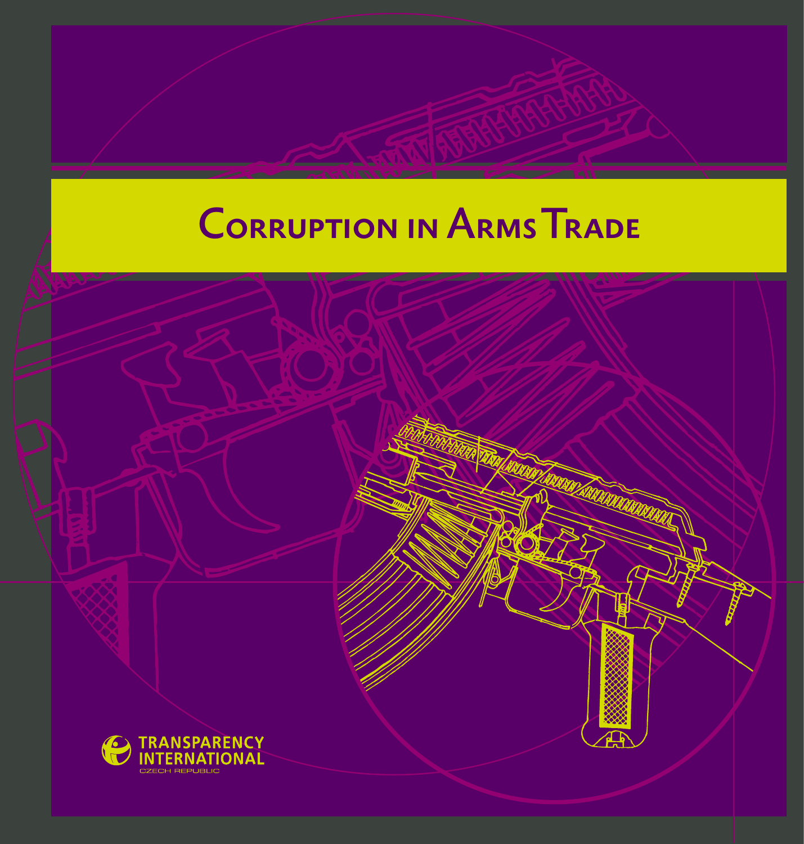# **CORRUPTION IN ARMS TRADE**

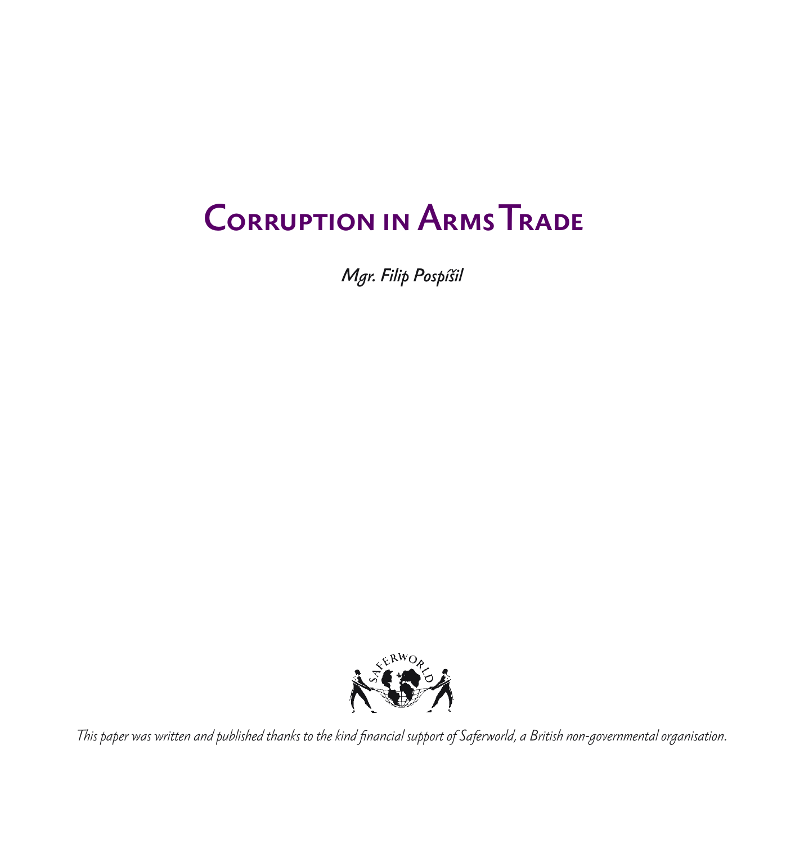# **CORRUPTION IN ARMS TRADE**

*Mgr. Filip Pospíšil*



*This paper was written and published thanks to the kind financial support of Saferworld, a British non-governmental organisation.*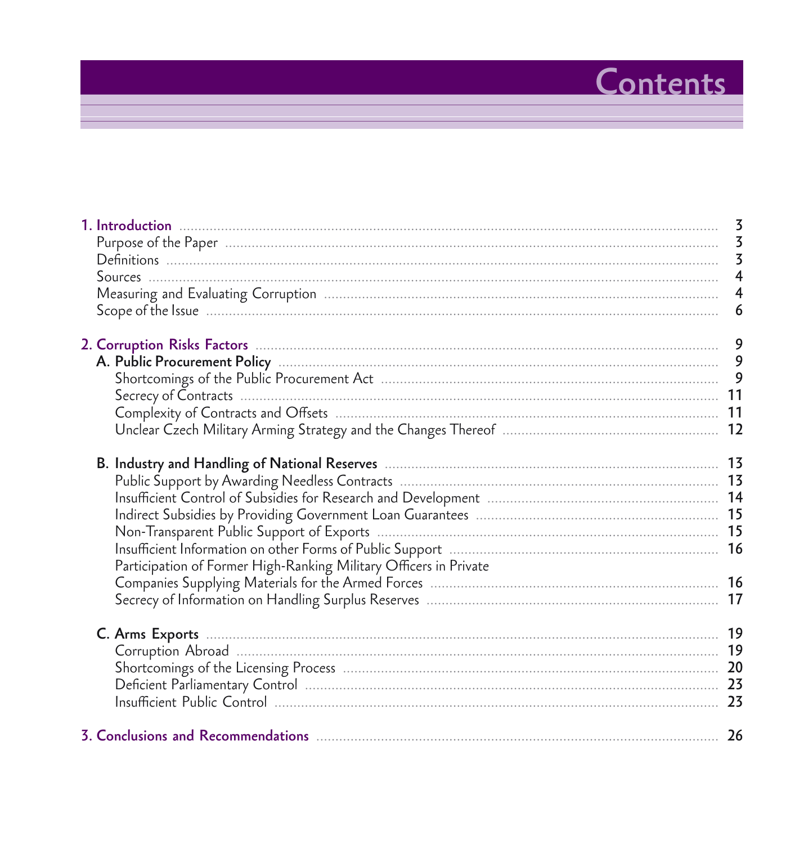# Contents

|                                                                   | $\overline{4}$ |
|-------------------------------------------------------------------|----------------|
|                                                                   | 6              |
|                                                                   |                |
|                                                                   |                |
|                                                                   |                |
|                                                                   |                |
|                                                                   |                |
|                                                                   |                |
|                                                                   |                |
|                                                                   |                |
|                                                                   |                |
|                                                                   |                |
|                                                                   |                |
|                                                                   |                |
| Participation of Former High-Ranking Military Officers in Private |                |
|                                                                   |                |
|                                                                   |                |
|                                                                   |                |
|                                                                   |                |
|                                                                   |                |
|                                                                   |                |
|                                                                   |                |
|                                                                   |                |
|                                                                   |                |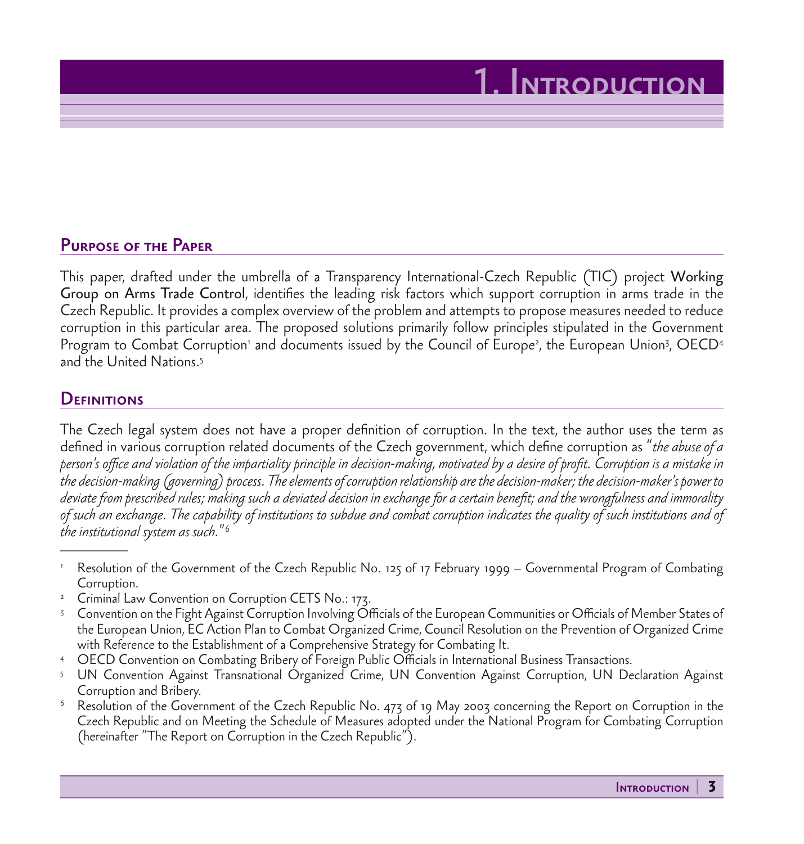#### Purpose of the Paper

This paper, drafted under the umbrella of a Transparency International-Czech Republic (TIC) project Working Group on Arms Trade Control, identifies the leading risk factors which support corruption in arms trade in the Czech Republic. It provides a complex overview of the problem and attempts to propose measures needed to reduce corruption in this particular area. The proposed solutions primarily follow principles stipulated in the Government Program to Combat Corruption' and documents issued by the Council of Europe<sup>2</sup>, the European Union<sup>3</sup>, OECD4 and the United Nations.5

#### **DEFINITIONS**

The Czech legal system does not have a proper definition of corruption. In the text, the author uses the term as defined in various corruption related documents of the Czech government, which define corruption as "*the abuse of a person's office and violation of the impartiality principle in decision-making, motivated by a desire of profit. Corruption is a mistake in the decision-making (governing) process. The elements of corruption relationship are the decision-maker; the decision-maker's power to deviate from prescribed rules; making such a deviated decision in exchange for a certain benefit; and the wrongfulness and immorality of such an exchange. The capability of institutions to subdue and combat corruption indicates the quality of such institutions and of the institutional system as such.*"6

- <sup>1</sup> Resolution of the Government of the Czech Republic No. 125 of 17 February 1999 Governmental Program of Combating Corruption.
- <sup>2</sup> Criminal Law Convention on Corruption CETS No.: 173.
- <sup>3</sup> Convention on the Fight Against Corruption Involving Officials of the European Communities or Officials of Member States of the European Union, EC Action Plan to Combat Organized Crime, Council Resolution on the Prevention of Organized Crime
- with Reference to the Establishment of a Comprehensive Strategy for Combating It.<br>4 OECD Convention on Combating Bribery of Foreign Public Officials in International Business Transactions.
- <sup>5</sup> UN Convention Against Transnational Organized Crime, UN Convention Against Corruption, UN Declaration Against Corruption and Bribery.
- $6$  Resolution of the Government of the Czech Republic No. 473 of 19 May 2003 concerning the Report on Corruption in the Czech Republic and on Meeting the Schedule of Measures adopted under the National Program for Combating Corruption (hereinafter "The Report on Corruption in the Czech Republic").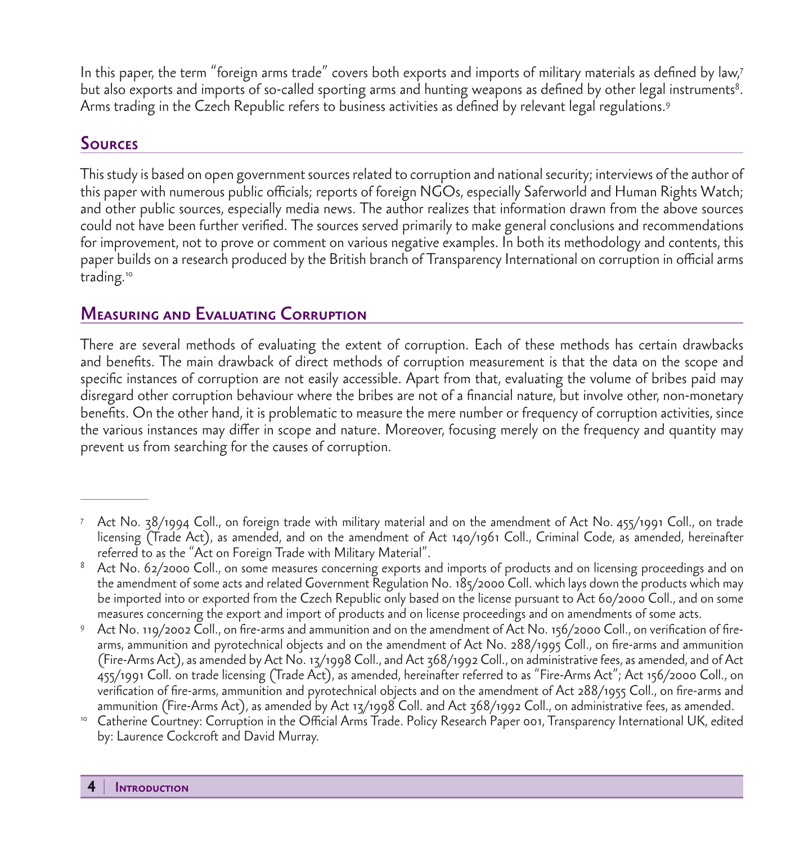In this paper, the term "foreign arms trade" covers both exports and imports of military materials as defined by law,7 but also exports and imports of so-called sporting arms and hunting weapons as defined by other legal instruments $^{\rm 8}.$ Arms trading in the Czech Republic refers to business activities as defined by relevant legal regulations.9

#### **SOURCES**

This study is based on open government sources related to corruption and national security; interviews of the author of this paper with numerous public officials; reports of foreign NGOs, especially Saferworld and Human Rights Watch; and other public sources, especially media news. The author realizes that information drawn from the above sources could not have been further verified. The sources served primarily to make general conclusions and recommendations for improvement, not to prove or comment on various negative examples. In both its methodology and contents, this paper builds on a research produced by the British branch of Transparency International on corruption in official arms trading.<sup>10</sup>

## Measuring and Evaluating Corruption

There are several methods of evaluating the extent of corruption. Each of these methods has certain drawbacks and benefits. The main drawback of direct methods of corruption measurement is that the data on the scope and specific instances of corruption are not easily accessible. Apart from that, evaluating the volume of bribes paid may disregard other corruption behaviour where the bribes are not of a financial nature, but involve other, non-monetary benefits. On the other hand, it is problematic to measure the mere number or frequency of corruption activities, since the various instances may differ in scope and nature. Moreover, focusing merely on the frequency and quantity may prevent us from searching for the causes of corruption.

<sup>7</sup> Act No. 38/1994 Coll., on foreign trade with military material and on the amendment of Act No. 455/1991 Coll., on trade licensing (Trade Act), as amended, and on the amendment of Act 140/1961 Coll., Criminal Code, as amended, hereinafter referred to as the "Act on Foreign Trade with Military Material".

<sup>&</sup>lt;sup>8</sup> Act No. 62/2000 Coll., on some measures concerning exports and imports of products and on licensing proceedings and on the amendment of some acts and related Government Regulation No. 185/2000 Coll. which lays down the products which may be imported into or exported from the Czech Republic only based on the license pursuant to Act 60/2000 Coll., and on some measures concerning the export and import of products and on license proceedings and on amendments of some acts.

<sup>9</sup> Act No. 119/2002 Coll., on fire-arms and ammunition and on the amendment of Act No. 156/2000 Coll., on verification of firearms, ammunition and pyrotechnical objects and on the amendment of Act No. 288/1995 Coll., on fire-arms and ammunition (Fire-Arms Act), as amended by Act No. 13/1998 Coll., and Act 368/1992 Coll., on administrative fees, as amended, and of Act 455/1991 Coll. on trade licensing (Trade Act), as amended, hereinafter referred to as "Fire-Arms Act"; Act 156/2000 Coll., on verification of fire-arms, ammunition and pyrotechnical objects and on the amendment of Act 288/1955 Coll., on fire-arms and ammunition (Fire-Arms Act), as amended by Act 13/1998 Coll. and Act 368/1992 Coll., on administrative fees, as amended.

<sup>10</sup> Catherine Courtney: Corruption in the Official Arms Trade. Policy Research Paper 001, Transparency International UK, edited by: Laurence Cockcroft and David Murray.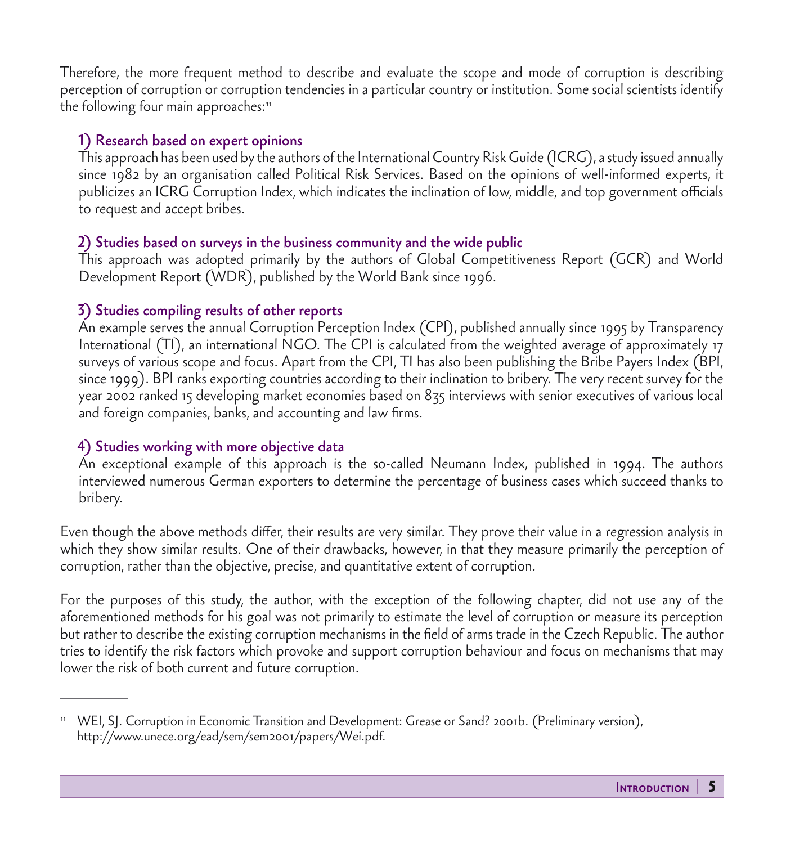Therefore, the more frequent method to describe and evaluate the scope and mode of corruption is describing perception of corruption or corruption tendencies in a particular country or institution. Some social scientists identify the following four main approaches:<sup>11</sup>

#### 1) Research based on expert opinions

 This approach has been used by the authors of the International Country Risk Guide (ICRG), a study issued annually since 1982 by an organisation called Political Risk Services. Based on the opinions of well-informed experts, it publicizes an ICRG Corruption Index, which indicates the inclination of low, middle, and top government officials to request and accept bribes.

#### 2) Studies based on surveys in the business community and the wide public

 This approach was adopted primarily by the authors of Global Competitiveness Report (GCR) and World Development Report (WDR), published by the World Bank since 1996.

#### 3) Studies compiling results of other reports

 An example serves the annual Corruption Perception Index (CPI), published annually since 1995 by Transparency International (TI), an international NGO. The CPI is calculated from the weighted average of approximately 17 surveys of various scope and focus. Apart from the CPI, TI has also been publishing the Bribe Payers Index (BPI, since 1999). BPI ranks exporting countries according to their inclination to bribery. The very recent survey for the year 2002 ranked 15 developing market economies based on 835 interviews with senior executives of various local and foreign companies, banks, and accounting and law firms.

#### 4) Studies working with more objective data

 An exceptional example of this approach is the so-called Neumann Index, published in 1994. The authors interviewed numerous German exporters to determine the percentage of business cases which succeed thanks to bribery.

Even though the above methods differ, their results are very similar. They prove their value in a regression analysis in which they show similar results. One of their drawbacks, however, in that they measure primarily the perception of corruption, rather than the objective, precise, and quantitative extent of corruption.

For the purposes of this study, the author, with the exception of the following chapter, did not use any of the aforementioned methods for his goal was not primarily to estimate the level of corruption or measure its perception but rather to describe the existing corruption mechanisms in the field of arms trade in the Czech Republic. The author tries to identify the risk factors which provoke and support corruption behaviour and focus on mechanisms that may lower the risk of both current and future corruption.

<sup>11</sup> WEI, SJ. Corruption in Economic Transition and Development: Grease or Sand? 2001b. (Preliminary version), http://www.unece.org/ead/sem/sem2001/papers/Wei.pdf.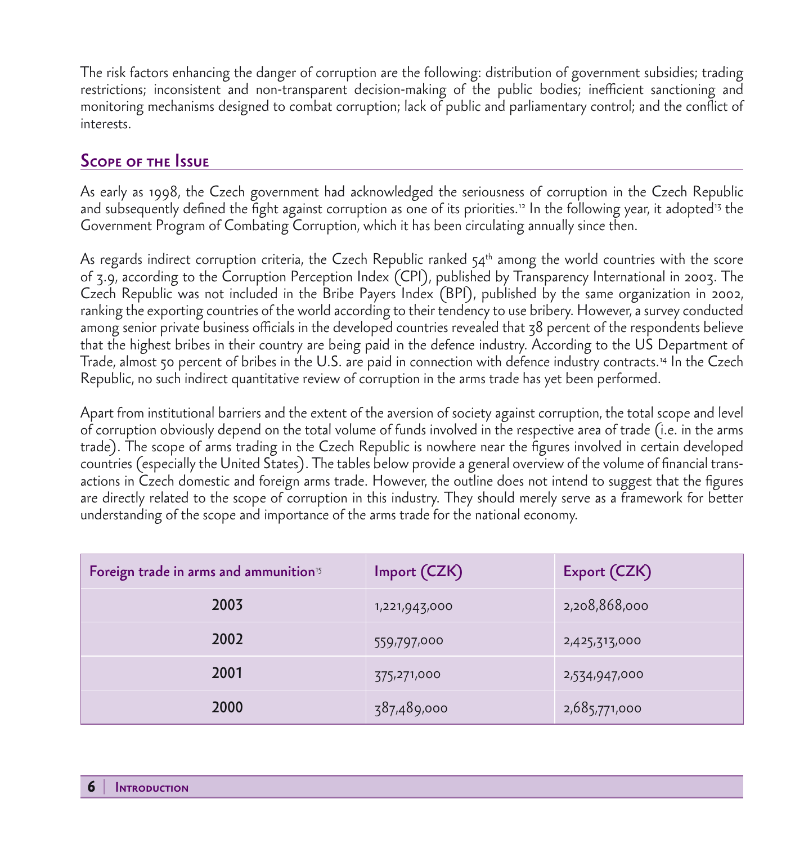The risk factors enhancing the danger of corruption are the following: distribution of government subsidies; trading restrictions; inconsistent and non-transparent decision-making of the public bodies; inefficient sanctioning and monitoring mechanisms designed to combat corruption; lack of public and parliamentary control; and the conflict of interests.

### Scope of the Issue

As early as 1998, the Czech government had acknowledged the seriousness of corruption in the Czech Republic and subsequently defined the fight against corruption as one of its priorities.<sup>12</sup> In the following year, it adopted<sup>13</sup> the Government Program of Combating Corruption, which it has been circulating annually since then.

As regards indirect corruption criteria, the Czech Republic ranked  $54<sup>th</sup>$  among the world countries with the score of 3.9, according to the Corruption Perception Index (CPI), published by Transparency International in 2003. The Czech Republic was not included in the Bribe Payers Index (BPI), published by the same organization in 2002, ranking the exporting countries of the world according to their tendency to use bribery. However, a survey conducted among senior private business officials in the developed countries revealed that 38 percent of the respondents believe that the highest bribes in their country are being paid in the defence industry. According to the US Department of Trade, almost 50 percent of bribes in the U.S. are paid in connection with defence industry contracts.14 In the Czech Republic, no such indirect quantitative review of corruption in the arms trade has yet been performed.

Apart from institutional barriers and the extent of the aversion of society against corruption, the total scope and level of corruption obviously depend on the total volume of funds involved in the respective area of trade (i.e. in the arms trade). The scope of arms trading in the Czech Republic is nowhere near the figures involved in certain developed countries (especially the United States). The tables below provide a general overview of the volume of financial transactions in Czech domestic and foreign arms trade. However, the outline does not intend to suggest that the figures are directly related to the scope of corruption in this industry. They should merely serve as a framework for better understanding of the scope and importance of the arms trade for the national economy.

| Foreign trade in arms and ammunition <sup>15</sup> | Import (CZK)  | Export (CZK)  |  |
|----------------------------------------------------|---------------|---------------|--|
| 2003                                               | 1,221,943,000 | 2,208,868,000 |  |
| 2002                                               | 559,797,000   | 2,425,313,000 |  |
| 2001                                               | 375,271,000   | 2,534,947,000 |  |
| 2000                                               | 387,489,000   | 2,685,771,000 |  |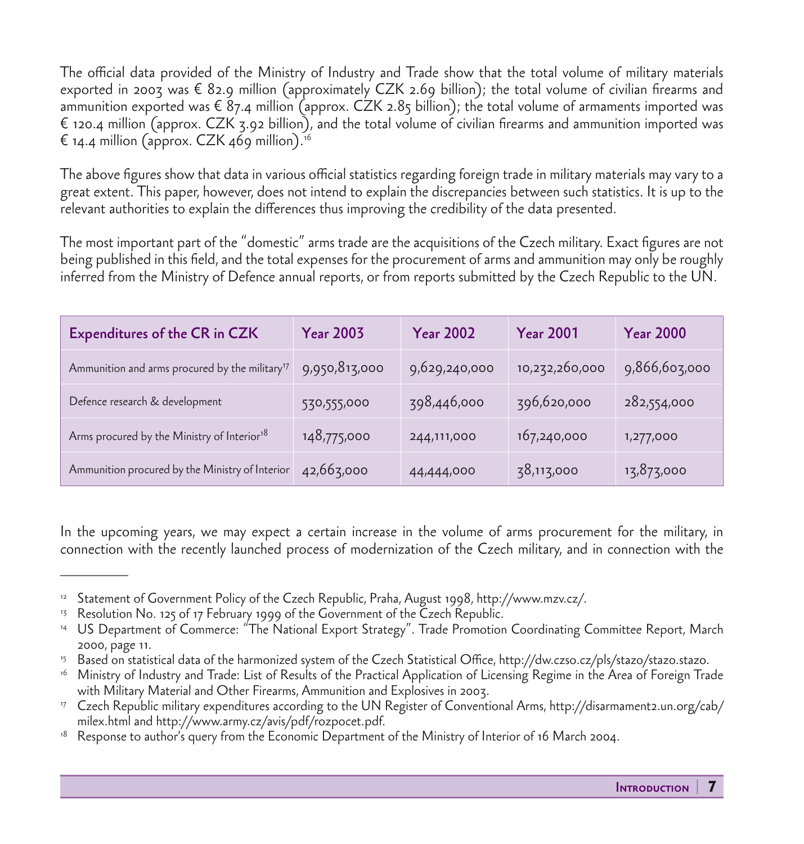The official data provided of the Ministry of Industry and Trade show that the total volume of military materials exported in 2003 was  $\epsilon$  82.9 million (approximately CZK 2.69 billion); the total volume of civilian firearms and ammunition exported was  $\epsilon$  87.4 million (approx. CZK 2.85 billion); the total volume of armaments imported was € 120.4 million (approx. CZK 3.92 billion), and the total volume of civilian firearms and ammunition imported was  $\epsilon$  14.4 million (approx. CZK 469 million).<sup>16</sup>

The above figures show that data in various official statistics regarding foreign trade in military materials may vary to a great extent. This paper, however, does not intend to explain the discrepancies between such statistics. It is up to the relevant authorities to explain the differences thus improving the credibility of the data presented.

The most important part of the "domestic" arms trade are the acquisitions of the Czech military. Exact figures are not being published in this field, and the total expenses for the procurement of arms and ammunition may only be roughly inferred from the Ministry of Defence annual reports, or from reports submitted by the Czech Republic to the UN.

| Expenditures of the CR in CZK                              | <b>Year 2003</b> | <b>Year 2002</b> | <b>Year 2001</b> | <b>Year 2000</b> |
|------------------------------------------------------------|------------------|------------------|------------------|------------------|
| Ammunition and arms procured by the military <sup>17</sup> | 9,950,813,000    | 9,629,240,000    | 10,232,260,000   | 9,866,603,000    |
| Defence research & development                             | 530,555,000      | 398,446,000      | 396,620,000      | 282,554,000      |
| Arms procured by the Ministry of Interior <sup>18</sup>    | 148,775,000      | 244,111,000      | 167,240,000      | 1,277,000        |
| Ammunition procured by the Ministry of Interior            | 42,663,000       | 44,444,000       | 38,113,000       | 13,873,000       |

In the upcoming years, we may expect a certain increase in the volume of arms procurement for the military, in connection with the recently launched process of modernization of the Czech military, and in connection with the

<sup>&</sup>lt;sup>12</sup> Statement of Government Policy of the Czech Republic, Praha, August 1998, http://www.mzv.cz/.

<sup>&</sup>lt;sup>13</sup> Resolution No. 125 of 17 February 1999 of the Government of the Czech Republic.

<sup>14</sup> US Department of Commerce: "The National Export Strategy". Trade Promotion Coordinating Committee Report, March 2000, page 11.

<sup>15</sup> Based on statistical data of the harmonized system of the Czech Statistical Office, http://dw.czso.cz/pls/stazo/stazo.stazo.

<sup>16</sup> Ministry of Industry and Trade: List of Results of the Practical Application of Licensing Regime in the Area of Foreign Trade with Military Material and Other Firearms, Ammunition and Explosives in 2003.

<sup>17</sup> Czech Republic military expenditures according to the UN Register of Conventional Arms, http://disarmament2.un.org/cab/ milex.html and http://www.army.cz/avis/pdf/rozpocet.pdf.

Response to author's query from the Economic Department of the Ministry of Interior of 16 March 2004.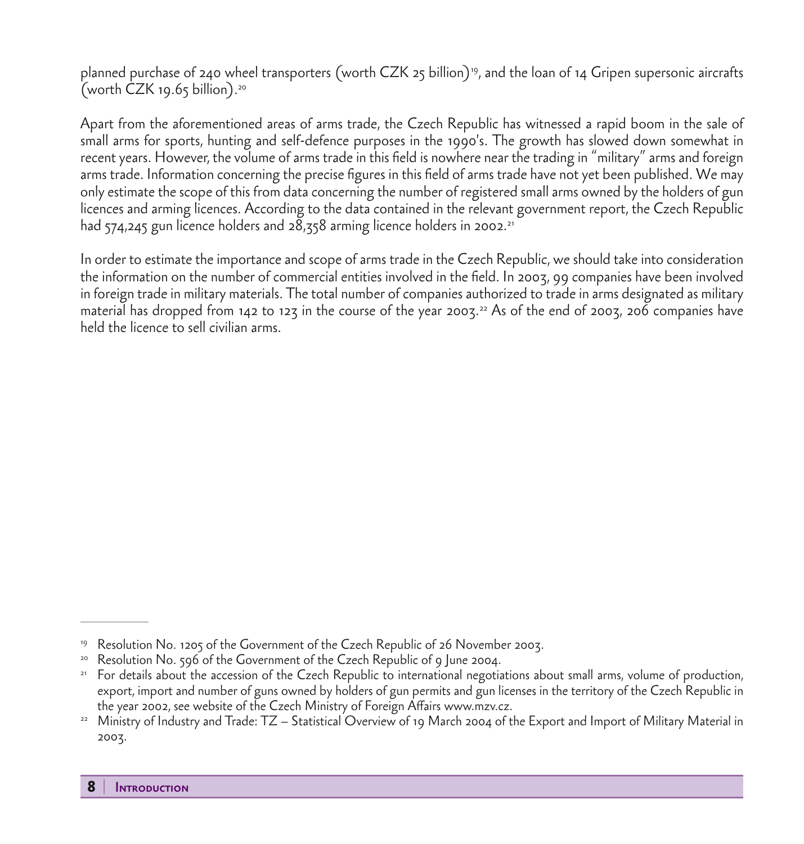planned purchase of 240 wheel transporters (worth CZK 25 billion)19, and the loan of 14 Gripen supersonic aircrafts (worth  $CZK$  19.65 billion).<sup>20</sup>

Apart from the aforementioned areas of arms trade, the Czech Republic has witnessed a rapid boom in the sale of small arms for sports, hunting and self-defence purposes in the 1990's. The growth has slowed down somewhat in recent years. However, the volume of arms trade in this field is nowhere near the trading in "military" arms and foreign arms trade. Information concerning the precise figures in this field of arms trade have not yet been published. We may only estimate the scope of this from data concerning the number of registered small arms owned by the holders of gun licences and arming licences. According to the data contained in the relevant government report, the Czech Republic had  $574,245$  gun licence holders and  $28,358$  arming licence holders in 2002.<sup>21</sup>

In order to estimate the importance and scope of arms trade in the Czech Republic, we should take into consideration the information on the number of commercial entities involved in the field. In 2003, 99 companies have been involved in foreign trade in military materials. The total number of companies authorized to trade in arms designated as military material has dropped from 142 to 123 in the course of the year 2003.<sup>22</sup> As of the end of 2003, 206 companies have held the licence to sell civilian arms.

<sup>19</sup> Resolution No. 1205 of the Government of the Czech Republic of 26 November 2003.

<sup>&</sup>lt;sup>20</sup> Resolution No. 596 of the Government of the Czech Republic of 9 June 2004.

<sup>&</sup>lt;sup>21</sup> For details about the accession of the Czech Republic to international negotiations about small arms, volume of production, export, import and number of guns owned by holders of gun permits and gun licenses in the territory of the Czech Republic in the year 2002, see website of the Czech Ministry of Foreign Affairs www.mzv.cz.

<sup>22</sup> Ministry of Industry and Trade: TZ – Statistical Overview of 19 March 2004 of the Export and Import of Military Material in 2003.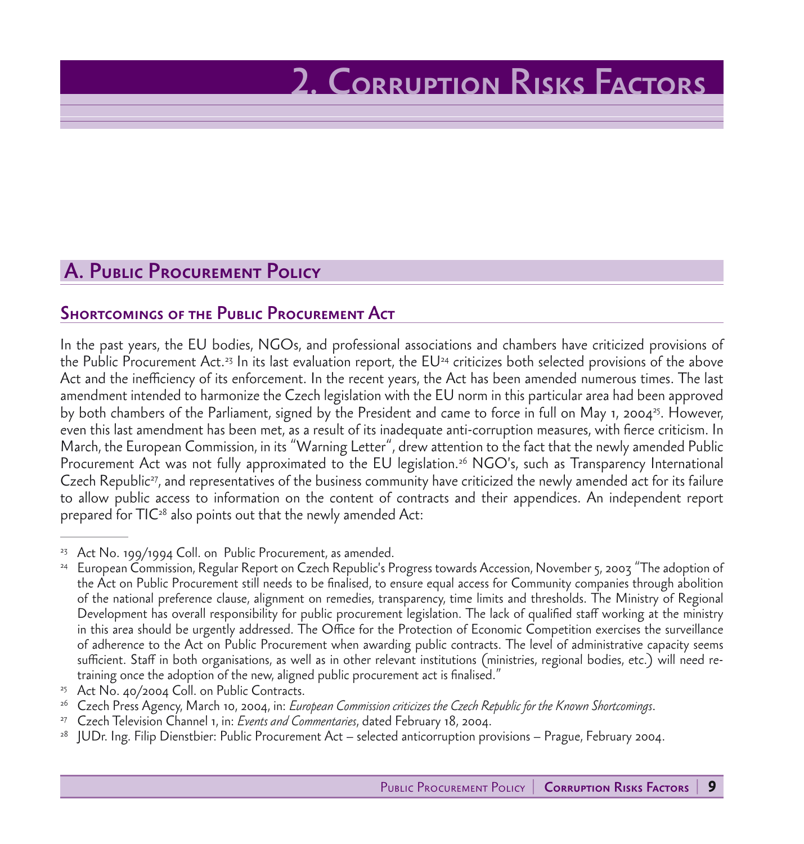# 2. Corruption Risks Factors

## A. Public Procurement Policy

### Shortcomings of the Public Procurement Act

In the past years, the EU bodies, NGOs, and professional associations and chambers have criticized provisions of the Public Procurement Act.<sup>23</sup> In its last evaluation report, the  $EU^{24}$  criticizes both selected provisions of the above Act and the inefficiency of its enforcement. In the recent years, the Act has been amended numerous times. The last amendment intended to harmonize the Czech legislation with the EU norm in this particular area had been approved by both chambers of the Parliament, signed by the President and came to force in full on May 1, 2004<sup>25</sup>. However, even this last amendment has been met, as a result of its inadequate anti-corruption measures, with fierce criticism. In March, the European Commission, in its "Warning Letter", drew attention to the fact that the newly amended Public Procurement Act was not fully approximated to the EU legislation.<sup>26</sup> NGO's, such as Transparency International Czech Republic<sup>27</sup>, and representatives of the business community have criticized the newly amended act for its failure to allow public access to information on the content of contracts and their appendices. An independent report prepared for  $TIC^{28}$  also points out that the newly amended Act:

<sup>&</sup>lt;sup>23</sup> Act No. 199/1994 Coll. on Public Procurement, as amended.

<sup>24</sup> European Commission, Regular Report on Czech Republic's Progress towards Accession, November 5, 2003 "The adoption of the Act on Public Procurement still needs to be finalised, to ensure equal access for Community companies through abolition of the national preference clause, alignment on remedies, transparency, time limits and thresholds. The Ministry of Regional Development has overall responsibility for public procurement legislation. The lack of qualified staff working at the ministry in this area should be urgently addressed. The Office for the Protection of Economic Competition exercises the surveillance of adherence to the Act on Public Procurement when awarding public contracts. The level of administrative capacity seems sufficient. Staff in both organisations, as well as in other relevant institutions (ministries, regional bodies, etc.) will need retraining once the adoption of the new, aligned public procurement act is finalised."

<sup>&</sup>lt;sup>25</sup> Act No. 40/2004 Coll. on Public Contracts.

<sup>26</sup> Czech Press Agency, March 10, 2004, in: *European Commission criticizes the Czech Republic for the Known Shortcomings*.

<sup>27</sup> Czech Television Channel 1, in: *Events and Commentaries*, dated February 18, 2004.

<sup>28</sup> JUDr. Ing. Filip Dienstbier: Public Procurement Act – selected anticorruption provisions – Prague, February 2004.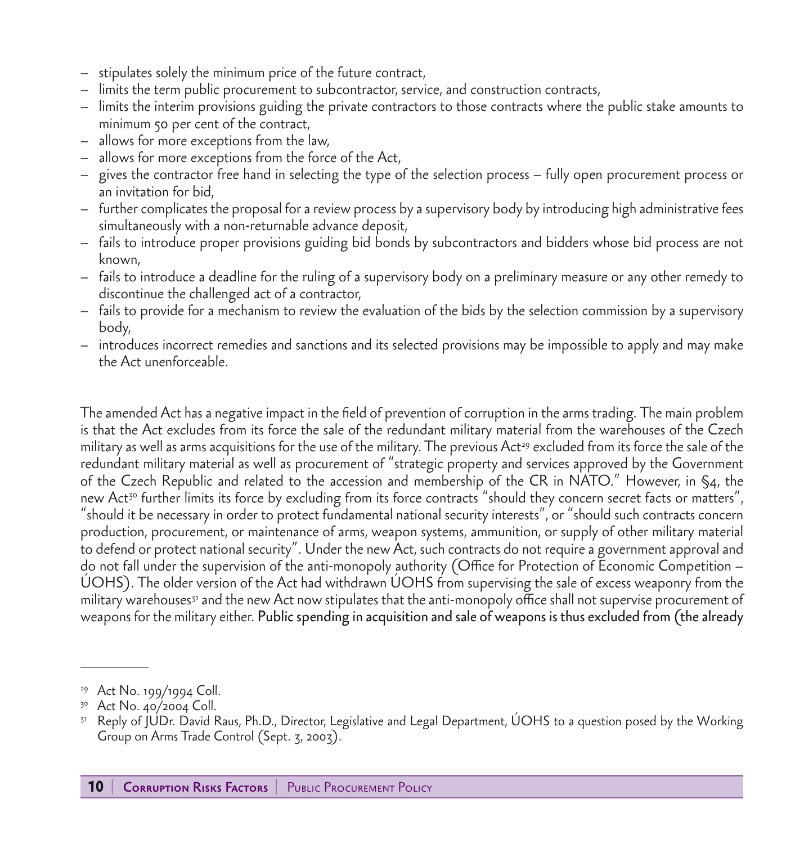- stipulates solely the minimum price of the future contract,
- limits the term public procurement to subcontractor, service, and construction contracts,
- limits the interim provisions guiding the private contractors to those contracts where the public stake amounts to minimum 50 per cent of the contract,
- allows for more exceptions from the law,
- allows for more exceptions from the force of the Act,
- gives the contractor free hand in selecting the type of the selection process fully open procurement process or an invitation for bid,
- further complicates the proposal for a review process by a supervisory body by introducing high administrative fees simultaneously with a non-returnable advance deposit,
- fails to introduce proper provisions guiding bid bonds by subcontractors and bidders whose bid process are not known,
- fails to introduce a deadline for the ruling of a supervisory body on a preliminary measure or any other remedy to discontinue the challenged act of a contractor,
- fails to provide for a mechanism to review the evaluation of the bids by the selection commission by a supervisory body,
- introduces incorrect remedies and sanctions and its selected provisions may be impossible to apply and may make the Act unenforceable.

The amended Act has a negative impact in the field of prevention of corruption in the arms trading. The main problem is that the Act excludes from its force the sale of the redundant military material from the warehouses of the Czech military as well as arms acquisitions for the use of the military. The previous Act<sup>29</sup> excluded from its force the sale of the redundant military material as well as procurement of "strategic property and services approved by the Government of the Czech Republic and related to the accession and membership of the CR in NATO." However, in §4, the new Act<sup>30</sup> further limits its force by excluding from its force contracts "should they concern secret facts or matters", "should it be necessary in order to protect fundamental national security interests", or "should such contracts concern production, procurement, or maintenance of arms, weapon systems, ammunition, or supply of other military material to defend or protect national security". Under the new Act, such contracts do not require a government approval and do not fall under the supervision of the anti-monopoly authority (Office for Protection of Economic Competition – ÚOHS). The older version of the Act had withdrawn ÚOHS from supervising the sale of excess weaponry from the military warehouses<sup>31</sup> and the new Act now stipulates that the anti-monopoly office shall not supervise procurement of weapons for the military either. Public spending in acquisition and sale of weapons is thus excluded from (the already

<sup>29</sup> Act No. 199/1994 Coll.

 $30$  Act No. 40/2004 Coll.

<sup>31</sup> Reply of JUDr. David Raus, Ph.D., Director, Legislative and Legal Department, ÚOHS to a question posed by the Working Group on Arms Trade Control (Sept. 3, 2003).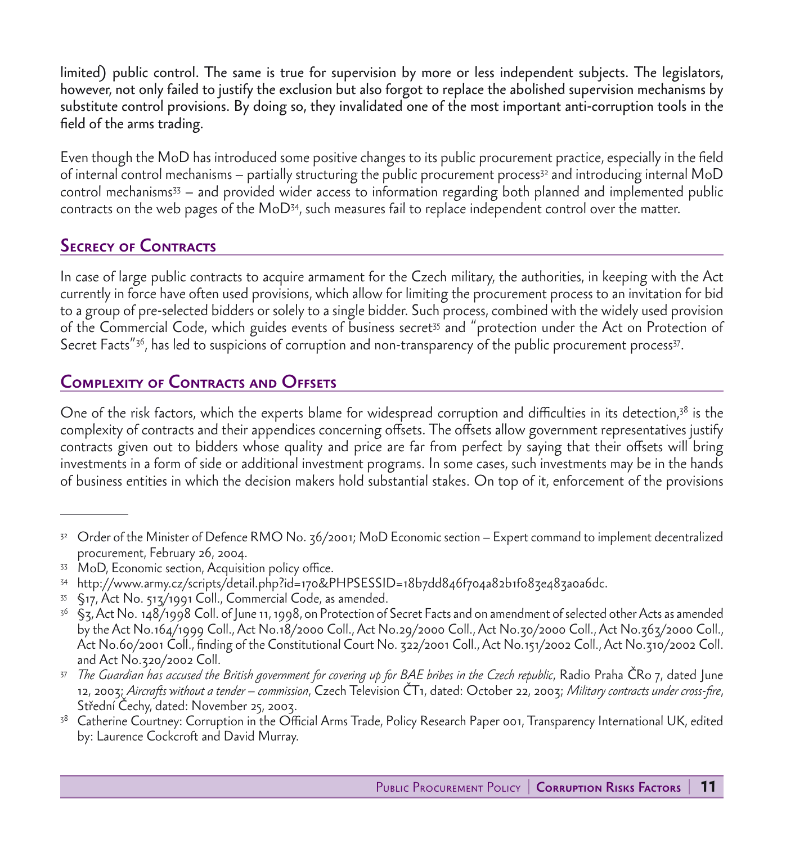limited) public control. The same is true for supervision by more or less independent subjects. The legislators, however, not only failed to justify the exclusion but also forgot to replace the abolished supervision mechanisms by substitute control provisions. By doing so, they invalidated one of the most important anti-corruption tools in the field of the arms trading.

Even though the MoD has introduced some positive changes to its public procurement practice, especially in the field of internal control mechanisms – partially structuring the public procurement process<sup>32</sup> and introducing internal MoD control mechanisms33 – and provided wider access to information regarding both planned and implemented public contracts on the web pages of the MoD34, such measures fail to replace independent control over the matter.

## **SECRECY OF CONTRACTS**

In case of large public contracts to acquire armament for the Czech military, the authorities, in keeping with the Act currently in force have often used provisions, which allow for limiting the procurement process to an invitation for bid to a group of pre-selected bidders or solely to a single bidder. Such process, combined with the widely used provision of the Commercial Code, which guides events of business secret<sup>35</sup> and "protection under the Act on Protection of Secret Facts<sup>"36</sup>, has led to suspicions of corruption and non-transparency of the public procurement process<sup>37</sup>.

## **COMPLEXITY OF CONTRACTS AND OFFSETS**

One of the risk factors, which the experts blame for widespread corruption and difficulties in its detection, $38$  is the complexity of contracts and their appendices concerning offsets. The offsets allow government representatives justify contracts given out to bidders whose quality and price are far from perfect by saying that their offsets will bring investments in a form of side or additional investment programs. In some cases, such investments may be in the hands of business entities in which the decision makers hold substantial stakes. On top of it, enforcement of the provisions

- <sup>32</sup> Order of the Minister of Defence RMO No. 36/2001; MoD Economic section Expert command to implement decentralized procurement, February 26, 2004.
- <sup>33</sup> MoD, Economic section, Acquisition policy office.
- <sup>34</sup> http://www.army.cz/scripts/detail.php?id=170&PHPSESSID=18b7dd846f704a82b1f083e483a0a6dc.
- <sup>35</sup> §17, Act No. 513/1991 Coll., Commercial Code, as amended.
- $36$  §z, Act No. 148/1998 Coll. of June 11, 1998, on Protection of Secret Facts and on amendment of selected other Acts as amended by the Act No.164/1999 Coll., Act No.18/2000 Coll., Act No.29/2000 Coll., Act No.30/2000 Coll., Act No.363/2000 Coll., Act No.60/2001 Coll., finding of the Constitutional Court No. 322/2001 Coll., Act No.151/2002 Coll., Act No.310/2002 Coll. and Act No.320/2002 Coll.
- <sup>37</sup> *The Guardian has accused the British government for covering up for BAE bribes in the Czech republic*, Radio Praha ČRo 7, dated June 12, 2003; *Aircrafts without a tender – commission*, Czech Television ČT1, dated: October 22, 2003; *Military contracts under cross-fire*, Střední Čechy, dated: November 25, 2003.
- <sup>38</sup> Catherine Courtney: Corruption in the Official Arms Trade, Policy Research Paper 001, Transparency International UK, edited by: Laurence Cockcroft and David Murray.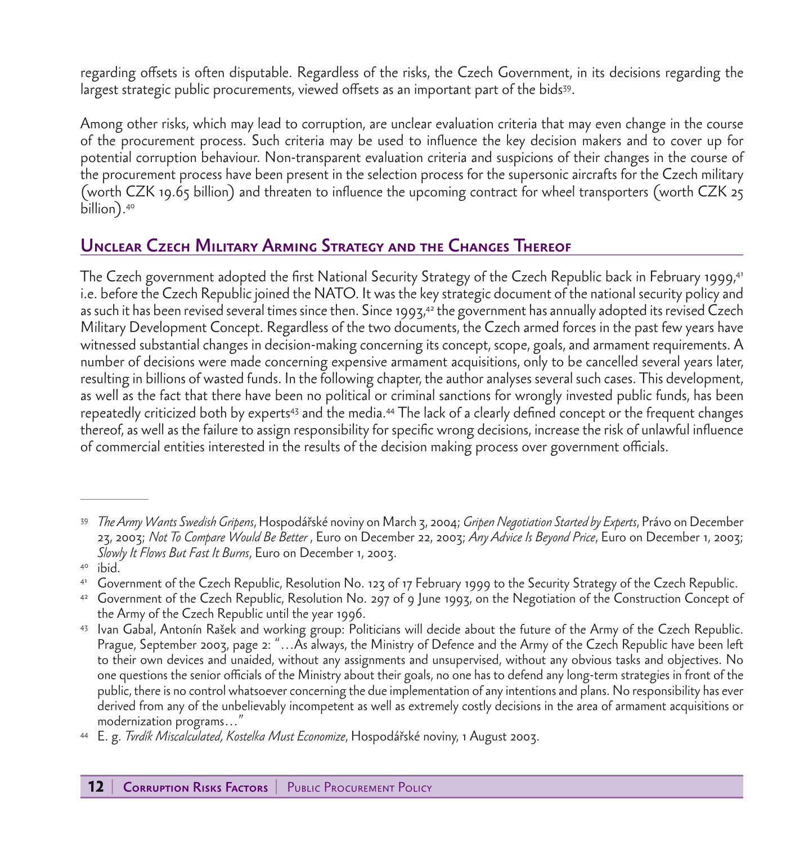regarding offsets is often disputable. Regardless of the risks, the Czech Government, in its decisions regarding the largest strategic public procurements, viewed offsets as an important part of the bids39.

Among other risks, which may lead to corruption, are unclear evaluation criteria that may even change in the course of the procurement process. Such criteria may be used to influence the key decision makers and to cover up for potential corruption behaviour. Non-transparent evaluation criteria and suspicions of their changes in the course of the procurement process have been present in the selection process for the supersonic aircrafts for the Czech military (worth CZK 19.65 billion) and threaten to influence the upcoming contract for wheel transporters (worth CZK 25 billion).<sup>40</sup>

## Unclear Czech Military Arming Strategy and the Changes Thereof

The Czech government adopted the first National Security Strategy of the Czech Republic back in February 1999,<sup>41</sup> i.e. before the Czech Republic joined the NATO. It was the key strategic document of the national security policy and as such it has been revised several times since then. Since 1993,<sup>42</sup> the government has annually adopted its revised Czech Military Development Concept. Regardless of the two documents, the Czech armed forces in the past few years have witnessed substantial changes in decision-making concerning its concept, scope, goals, and armament requirements. A number of decisions were made concerning expensive armament acquisitions, only to be cancelled several years later, resulting in billions of wasted funds. In the following chapter, the author analyses several such cases. This development, as well as the fact that there have been no political or criminal sanctions for wrongly invested public funds, has been repeatedly criticized both by experts<sup>43</sup> and the media.<sup>44</sup> The lack of a clearly defined concept or the frequent changes thereof, as well as the failure to assign responsibility for specific wrong decisions, increase the risk of unlawful influence of commercial entities interested in the results of the decision making process over government officials.

<sup>39</sup> *The Army Wants Swedish Gripens*, Hospodářské noviny on March 3, 2004; *Gripen Negotiation Started by Experts*, Právo on December 23, 2003; *Not To Compare Would Be Better* , Euro on December 22, 2003; *Any Advice Is Beyond Price*, Euro on December 1, 2003; *Slowly It Flows But Fast It Burns*, Euro on December 1, 2003.

<sup>40</sup> ibid.

<sup>41</sup> Government of the Czech Republic, Resolution No. 123 of 17 February 1999 to the Security Strategy of the Czech Republic.

<sup>42</sup> Government of the Czech Republic, Resolution No. 297 of 9 June 1993, on the Negotiation of the Construction Concept of the Army of the Czech Republic until the year 1996.

<sup>43</sup> Ivan Gabal, Antonín Rašek and working group: Politicians will decide about the future of the Army of the Czech Republic. Prague, September 2003, page 2: "…As always, the Ministry of Defence and the Army of the Czech Republic have been left to their own devices and unaided, without any assignments and unsupervised, without any obvious tasks and objectives. No one questions the senior officials of the Ministry about their goals, no one has to defend any long-term strategies in front of the public, there is no control whatsoever concerning the due implementation of any intentions and plans. No responsibility has ever derived from any of the unbelievably incompetent as well as extremely costly decisions in the area of armament acquisitions or modernization programs…"

<sup>44</sup> E. g. *Tvrdík Miscalculated, Kostelka Must Economize*, Hospodářské noviny, 1 August 2003.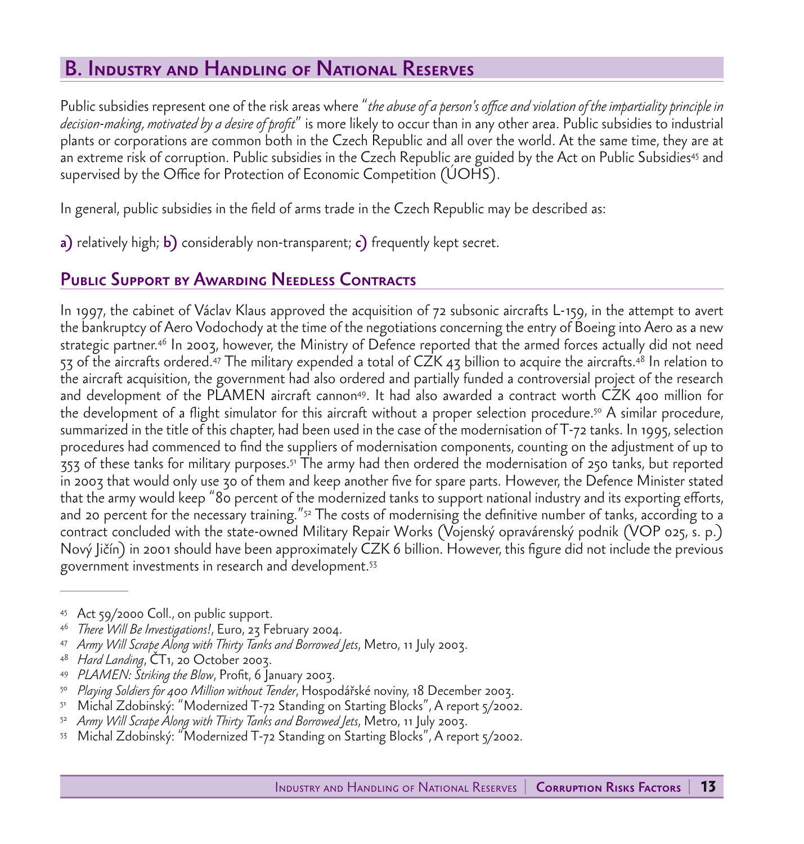# B. Industry and Handling of National Reserves

Public subsidies represent one of the risk areas where "*the abuse of a person's office and violation of the impartiality principle in decision-making, motivated by a desire of profit*" is more likely to occur than in any other area. Public subsidies to industrial plants or corporations are common both in the Czech Republic and all over the world. At the same time, they are at an extreme risk of corruption. Public subsidies in the Czech Republic are guided by the Act on Public Subsidies<sup>45</sup> and supervised by the Office for Protection of Economic Competition (ÚOHS).

In general, public subsidies in the field of arms trade in the Czech Republic may be described as:

a) relatively high; b) considerably non-transparent; c) frequently kept secret.

### Public Support by Awarding Needless Contracts

In 1997, the cabinet of Václav Klaus approved the acquisition of 72 subsonic aircrafts L-159, in the attempt to avert the bankruptcy of Aero Vodochody at the time of the negotiations concerning the entry of Boeing into Aero as a new strategic partner.46 In 2003, however, the Ministry of Defence reported that the armed forces actually did not need 53 of the aircrafts ordered.<sup>47</sup> The military expended a total of CZK 43 billion to acquire the aircrafts.<sup>48</sup> In relation to the aircraft acquisition, the government had also ordered and partially funded a controversial project of the research and development of the PLAMEN aircraft cannon<sup>49</sup>. It had also awarded a contract worth CZK 400 million for the development of a flight simulator for this aircraft without a proper selection procedure.<sup>50</sup> A similar procedure, summarized in the title of this chapter, had been used in the case of the modernisation of T-72 tanks. In 1995, selection procedures had commenced to find the suppliers of modernisation components, counting on the adjustment of up to 353 of these tanks for military purposes.51 The army had then ordered the modernisation of 250 tanks, but reported in 2003 that would only use 30 of them and keep another five for spare parts. However, the Defence Minister stated that the army would keep "80 percent of the modernized tanks to support national industry and its exporting efforts, and 20 percent for the necessary training."<sup>52</sup> The costs of modernising the definitive number of tanks, according to a contract concluded with the state-owned Military Repair Works (Vojenský opravárenský podnik (VOP 025, s. p.) Nový Jičín) in 2001 should have been approximately CZK 6 billion. However, this figure did not include the previous government investments in research and development.53

<sup>45</sup> Act 59/2000 Coll., on public support.

<sup>46</sup> *There Will Be Investigations!*, Euro, 23 February 2004.

<sup>47</sup> *Army Will Scrape Along with Thirty Tanks and Borrowed Jets*, Metro, 11 July 2003.

<sup>48</sup> *Hard Landing*, ČT1, 20 October 2003.

PLAMEN: Striking the Blow, Profit, 6 January 2003.

<sup>50</sup> *Playing Soldiers for 400 Million without Tender*, Hospodářské noviny, 18 December 2003.

<sup>51</sup> Michal Zdobinský: "Modernized T-72 Standing on Starting Blocks", A report 5/2002.

<sup>52</sup> *Army Will Scrape Along with Thirty Tanks and Borrowed Jets*, Metro, 11 July 2003.

<sup>53</sup> Michal Zdobinský: "Modernized T-72 Standing on Starting Blocks", A report 5/2002.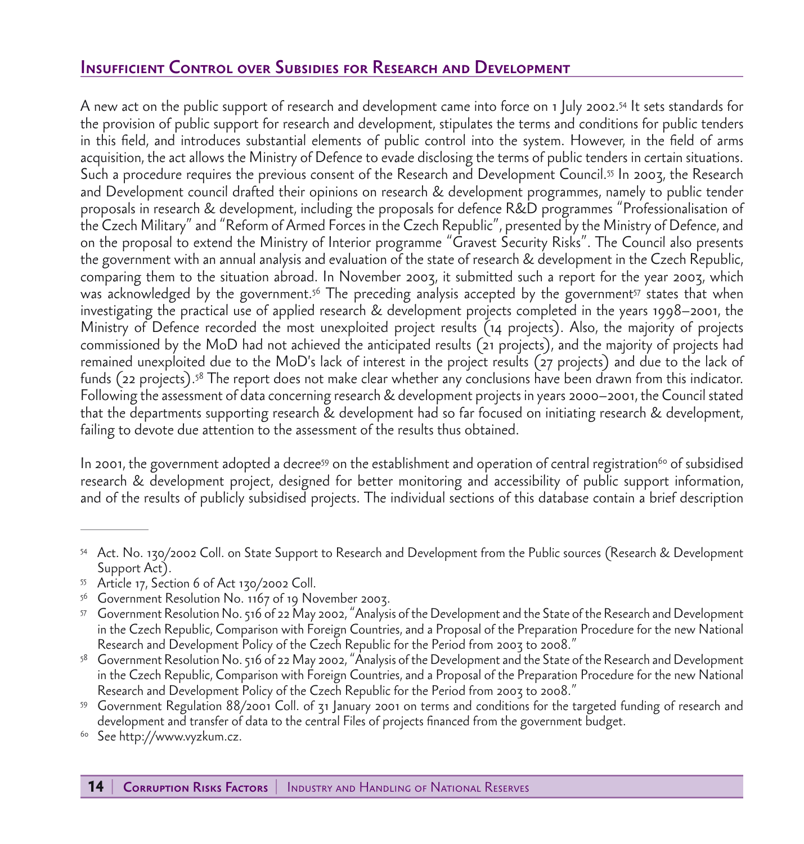## Insufficient Control over Subsidies for Research and Development

A new act on the public support of research and development came into force on 1 July 2002.54 It sets standards for the provision of public support for research and development, stipulates the terms and conditions for public tenders in this field, and introduces substantial elements of public control into the system. However, in the field of arms acquisition, the act allows the Ministry of Defence to evade disclosing the terms of public tenders in certain situations. Such a procedure requires the previous consent of the Research and Development Council.55 In 2003, the Research and Development council drafted their opinions on research & development programmes, namely to public tender proposals in research & development, including the proposals for defence R&D programmes "Professionalisation of the Czech Military" and "Reform of Armed Forces in the Czech Republic", presented by the Ministry of Defence, and on the proposal to extend the Ministry of Interior programme "Gravest Security Risks". The Council also presents the government with an annual analysis and evaluation of the state of research & development in the Czech Republic, comparing them to the situation abroad. In November 2003, it submitted such a report for the year 2003, which was acknowledged by the government.<sup>56</sup> The preceding analysis accepted by the government<sup>57</sup> states that when investigating the practical use of applied research & development projects completed in the years 1998–2001, the Ministry of Defence recorded the most unexploited project results (14 projects). Also, the majority of projects commissioned by the MoD had not achieved the anticipated results (21 projects), and the majority of projects had remained unexploited due to the MoD's lack of interest in the project results (27 projects) and due to the lack of funds (22 projects).58 The report does not make clear whether any conclusions have been drawn from this indicator. Following the assessment of data concerning research & development projects in years 2000–2001, the Council stated that the departments supporting research & development had so far focused on initiating research & development, failing to devote due attention to the assessment of the results thus obtained.

In 2001, the government adopted a decree<sup>59</sup> on the establishment and operation of central registration<sup>60</sup> of subsidised research & development project, designed for better monitoring and accessibility of public support information, and of the results of publicly subsidised projects. The individual sections of this database contain a brief description

- <sup>55</sup> Article 17, Section 6 of Act 130/2002 Coll.
- <sup>56</sup> Government Resolution No. 1167 of 19 November 2003.

<sup>54</sup> Act. No. 130/2002 Coll. on State Support to Research and Development from the Public sources (Research & Development Support Act).

<sup>57</sup> Government Resolution No. 516 of 22 May 2002, "Analysis of the Development and the State of the Research and Development in the Czech Republic, Comparison with Foreign Countries, and a Proposal of the Preparation Procedure for the new National Research and Development Policy of the Czech Republic for the Period from 2003 to 2008."

<sup>58</sup> Government Resolution No. 516 of 22 May 2002, "Analysis of the Development and the State of the Research and Development in the Czech Republic, Comparison with Foreign Countries, and a Proposal of the Preparation Procedure for the new National Research and Development Policy of the Czech Republic for the Period from 2003 to 2008."

<sup>59</sup> Government Regulation 88/2001 Coll. of 31 January 2001 on terms and conditions for the targeted funding of research and development and transfer of data to the central Files of projects financed from the government budget.

<sup>&</sup>lt;sup>60</sup> See http://www.vyzkum.cz.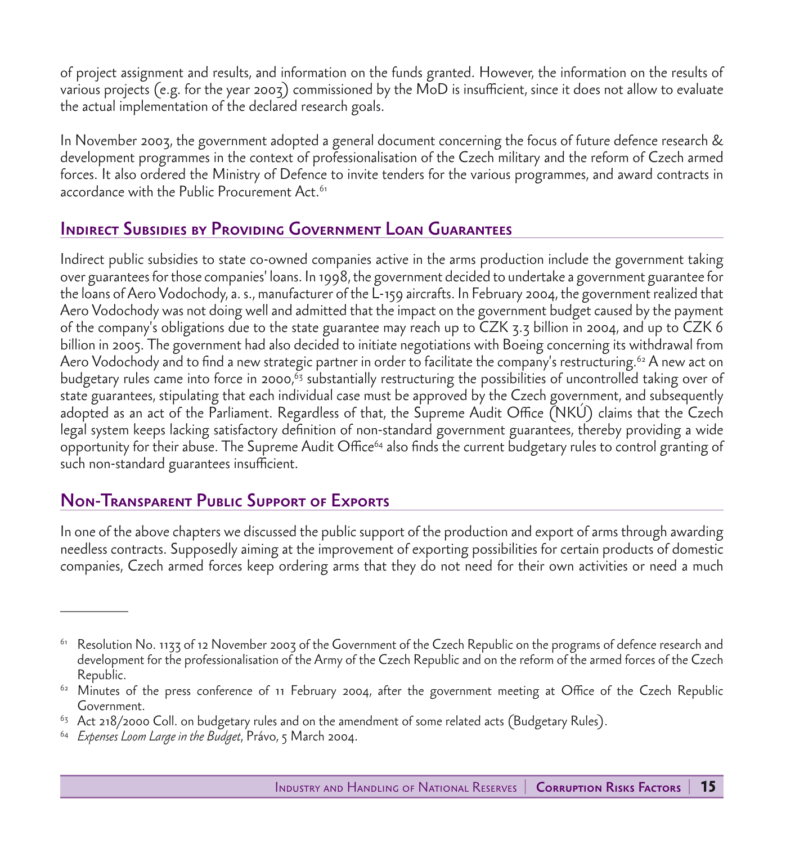of project assignment and results, and information on the funds granted. However, the information on the results of various projects (e.g. for the year 2003) commissioned by the MoD is insufficient, since it does not allow to evaluate the actual implementation of the declared research goals.

In November 2003, the government adopted a general document concerning the focus of future defence research & development programmes in the context of professionalisation of the Czech military and the reform of Czech armed forces. It also ordered the Ministry of Defence to invite tenders for the various programmes, and award contracts in accordance with the Public Procurement Act.<sup>61</sup>

### Indirect Subsidies by Providing Government Loan Guarantees

Indirect public subsidies to state co-owned companies active in the arms production include the government taking over guarantees for those companies' loans. In 1998, the government decided to undertake a government guarantee for the loans of Aero Vodochody, a. s., manufacturer of the L-159 aircrafts. In February 2004, the government realized that Aero Vodochody was not doing well and admitted that the impact on the government budget caused by the payment of the company's obligations due to the state guarantee may reach up to CZK 3.3 billion in 2004, and up to CZK 6 billion in 2005. The government had also decided to initiate negotiations with Boeing concerning its withdrawal from Aero Vodochody and to find a new strategic partner in order to facilitate the company's restructuring.<sup>62</sup> A new act on budgetary rules came into force in 2000,<sup>63</sup> substantially restructuring the possibilities of uncontrolled taking over of state guarantees, stipulating that each individual case must be approved by the Czech government, and subsequently adopted as an act of the Parliament. Regardless of that, the Supreme Audit Office (NKÚ) claims that the Czech legal system keeps lacking satisfactory definition of non-standard government guarantees, thereby providing a wide opportunity for their abuse. The Supreme Audit Office64 also finds the current budgetary rules to control granting of such non-standard guarantees insufficient.

### Non-Transparent Public Support of Exports

In one of the above chapters we discussed the public support of the production and export of arms through awarding needless contracts. Supposedly aiming at the improvement of exporting possibilities for certain products of domestic companies, Czech armed forces keep ordering arms that they do not need for their own activities or need a much

 $^{61}$  Resolution No. 1133 of 12 November 2003 of the Government of the Czech Republic on the programs of defence research and development for the professionalisation of the Army of the Czech Republic and on the reform of the armed forces of the Czech Republic.

<sup>&</sup>lt;sup>62</sup> Minutes of the press conference of 11 February 2004, after the government meeting at Office of the Czech Republic Government.

 $63$  Act 218/2000 Coll. on budgetary rules and on the amendment of some related acts (Budgetary Rules).

<sup>64</sup> *Expenses Loom Large in the Budget*, Právo, 5 March 2004.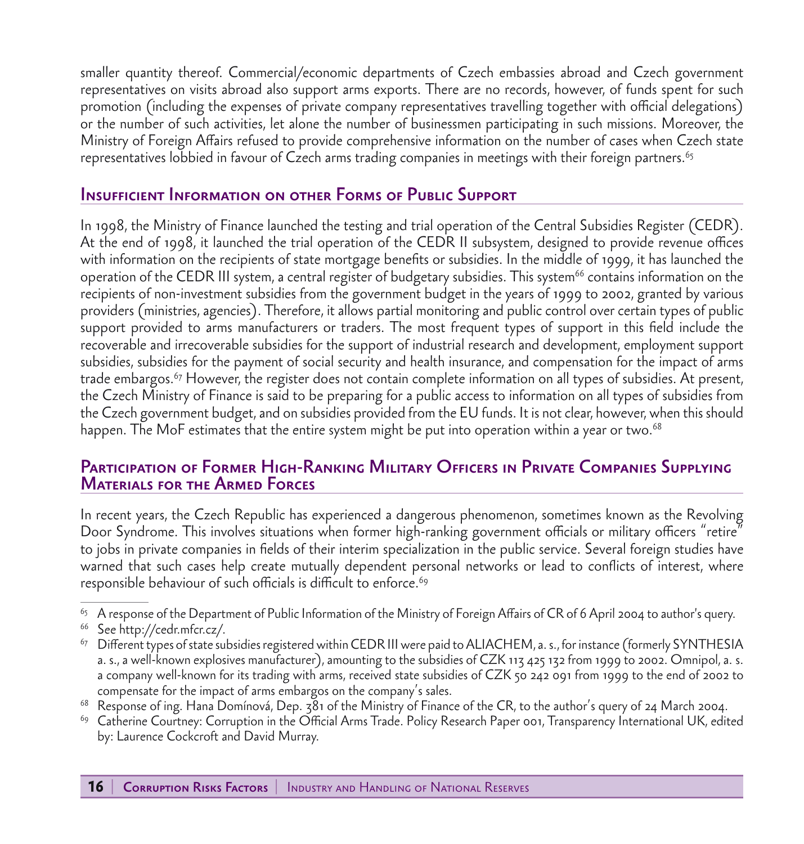smaller quantity thereof. Commercial/economic departments of Czech embassies abroad and Czech government representatives on visits abroad also support arms exports. There are no records, however, of funds spent for such promotion (including the expenses of private company representatives travelling together with official delegations) or the number of such activities, let alone the number of businessmen participating in such missions. Moreover, the Ministry of Foreign Affairs refused to provide comprehensive information on the number of cases when Czech state representatives lobbied in favour of Czech arms trading companies in meetings with their foreign partners.<sup>65</sup>

#### Insufficient Information on other Forms of Public Support

In 1998, the Ministry of Finance launched the testing and trial operation of the Central Subsidies Register (CEDR). At the end of 1998, it launched the trial operation of the CEDR II subsystem, designed to provide revenue offices with information on the recipients of state mortgage benefits or subsidies. In the middle of 1999, it has launched the operation of the CEDR III system, a central register of budgetary subsidies. This system<sup>66</sup> contains information on the recipients of non-investment subsidies from the government budget in the years of 1999 to 2002, granted by various providers (ministries, agencies). Therefore, it allows partial monitoring and public control over certain types of public support provided to arms manufacturers or traders. The most frequent types of support in this field include the recoverable and irrecoverable subsidies for the support of industrial research and development, employment support subsidies, subsidies for the payment of social security and health insurance, and compensation for the impact of arms trade embargos.67 However, the register does not contain complete information on all types of subsidies. At present, the Czech Ministry of Finance is said to be preparing for a public access to information on all types of subsidies from the Czech government budget, and on subsidies provided from the EU funds. It is not clear, however, when this should happen. The MoF estimates that the entire system might be put into operation within a year or two.<sup>68</sup>

#### Participation of Former High-Ranking Military Officers in Private Companies Supplying Materials for the Armed Forces

In recent years, the Czech Republic has experienced a dangerous phenomenon, sometimes known as the Revolving Door Syndrome. This involves situations when former high-ranking government officials or military officers "retire" to jobs in private companies in fields of their interim specialization in the public service. Several foreign studies have warned that such cases help create mutually dependent personal networks or lead to conflicts of interest, where responsible behaviour of such officials is difficult to enforce.<sup>69</sup>

 $^{65}$  A response of the Department of Public Information of the Ministry of Foreign Affairs of CR of 6 April 2004 to author's query.

<sup>66</sup> See http://cedr.mfcr.cz/.

 $^{67}$  Different types of state subsidies registered within CEDR III were paid to ALIACHEM, a. s., for instance (formerly SYNTHESIA a. s., a well-known explosives manufacturer), amounting to the subsidies of CZK 113 425 132 from 1999 to 2002. Omnipol, a. s. a company well-known for its trading with arms, received state subsidies of CZK 50 242 091 from 1999 to the end of 2002 to compensate for the impact of arms embargos on the company's sales.

 $68$  Response of ing. Hana Domínová, Dep.  $381$  of the Ministry of Finance of the CR, to the author's query of 24 March 2004.

<sup>69</sup> Catherine Courtney: Corruption in the Official Arms Trade. Policy Research Paper 001, Transparency International UK, edited by: Laurence Cockcroft and David Murray.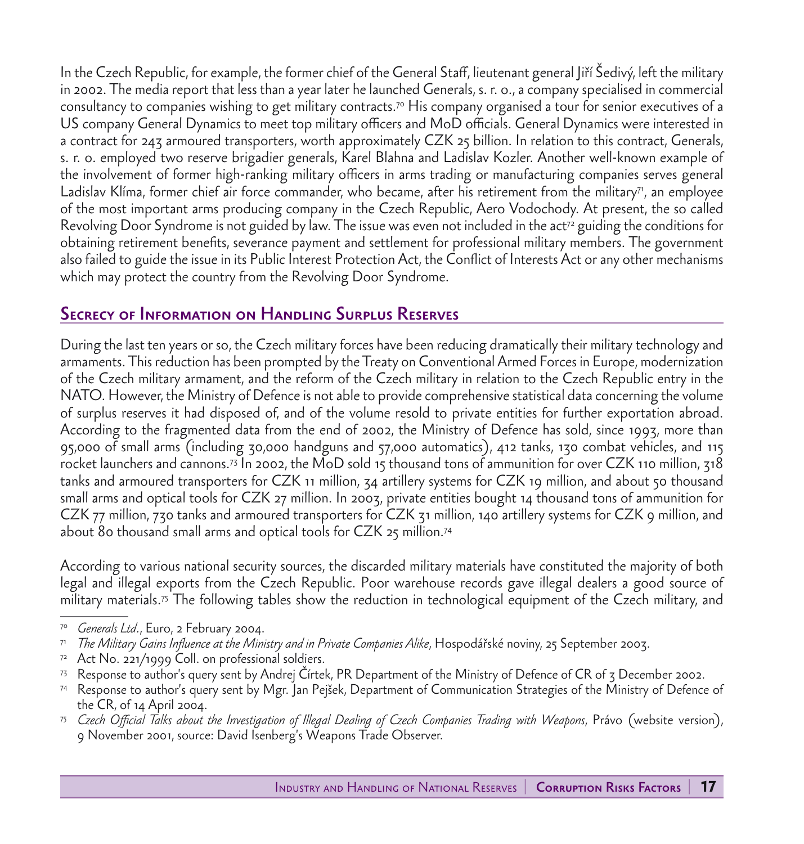In the Czech Republic, for example, the former chief of the General Staff, lieutenant general Jiří Šedivý, left the military in 2002. The media report that less than a year later he launched Generals, s. r. o., a company specialised in commercial consultancy to companies wishing to get military contracts.70 His company organised a tour for senior executives of a US company General Dynamics to meet top military officers and MoD officials. General Dynamics were interested in a contract for 243 armoured transporters, worth approximately CZK 25 billion. In relation to this contract, Generals, s. r. o. employed two reserve brigadier generals, Karel Blahna and Ladislav Kozler. Another well-known example of the involvement of former high-ranking military officers in arms trading or manufacturing companies serves general Ladislav Klíma, former chief air force commander, who became, after his retirement from the military<sup>71</sup>, an employee of the most important arms producing company in the Czech Republic, Aero Vodochody. At present, the so called Revolving Door Syndrome is not guided by law. The issue was even not included in the act<sup>72</sup> guiding the conditions for obtaining retirement benefits, severance payment and settlement for professional military members. The government also failed to guide the issue in its Public Interest Protection Act, the Conflict of Interests Act or any other mechanisms which may protect the country from the Revolving Door Syndrome.

## Secrecy of Information on Handling Surplus Reserves

During the last ten years or so, the Czech military forces have been reducing dramatically their military technology and armaments. This reduction has been prompted by the Treaty on Conventional Armed Forces in Europe, modernization of the Czech military armament, and the reform of the Czech military in relation to the Czech Republic entry in the NATO. However, the Ministry of Defence is not able to provide comprehensive statistical data concerning the volume of surplus reserves it had disposed of, and of the volume resold to private entities for further exportation abroad. According to the fragmented data from the end of 2002, the Ministry of Defence has sold, since 1993, more than 95,000 of small arms (including 30,000 handguns and 57,000 automatics), 412 tanks, 130 combat vehicles, and 115 rocket launchers and cannons.73 In 2002, the MoD sold 15 thousand tons of ammunition for over CZK 110 million, 318 tanks and armoured transporters for CZK 11 million, 34 artillery systems for CZK 19 million, and about 50 thousand small arms and optical tools for CZK 27 million. In 2003, private entities bought 14 thousand tons of ammunition for CZK 77 million, 730 tanks and armoured transporters for CZK 31 million, 140 artillery systems for CZK 9 million, and about 80 thousand small arms and optical tools for CZK 25 million.74

According to various national security sources, the discarded military materials have constituted the majority of both legal and illegal exports from the Czech Republic. Poor warehouse records gave illegal dealers a good source of military materials.75 The following tables show the reduction in technological equipment of the Czech military, and

- <sup>71</sup> *The Military Gains Influence at the Ministry and in Private Companies Alike*, Hospodářské noviny, 25 September 2003.
- $72$  Act No. 221/1999 Coll. on professional soldiers.
- <sup>73</sup> Response to author's query sent by Andrej Čírtek, PR Department of the Ministry of Defence of CR of 3 December 2002.
- <sup>74</sup> Response to author's query sent by Mgr. Jan Pejšek, Department of Communication Strategies of the Ministry of Defence of the CR, of 14 April 2004.
- <sup>75</sup> *Czech Official Talks about the Investigation of Illegal Dealing of Czech Companies Trading with Weapons*, Právo (website version), 9 November 2001, source: David Isenberg's Weapons Trade Observer.

Generals Ltd., Euro, 2 February 2004.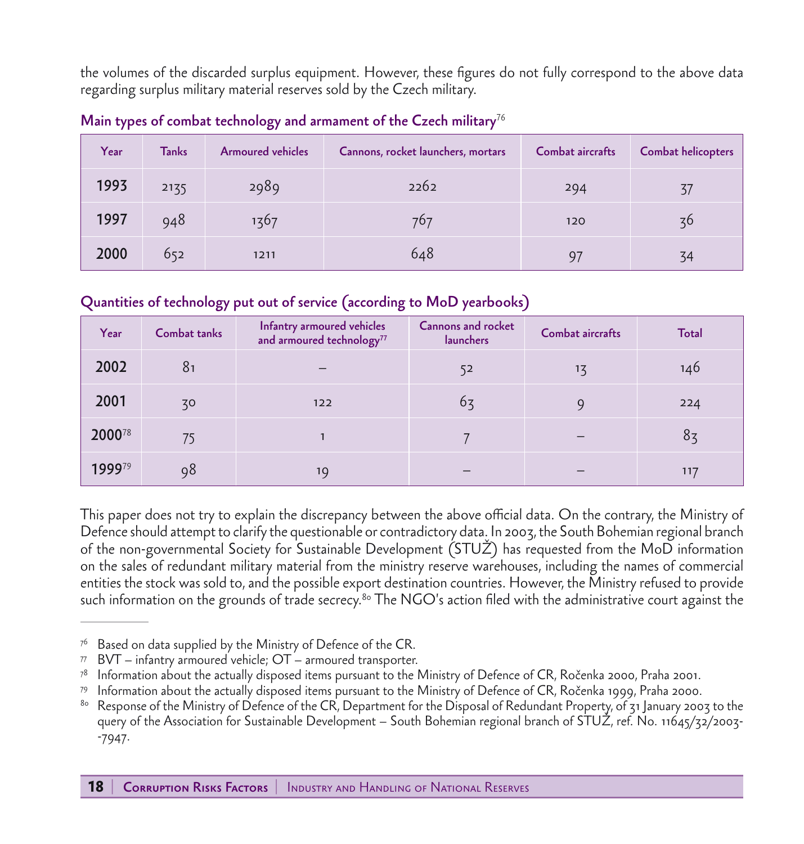the volumes of the discarded surplus equipment. However, these figures do not fully correspond to the above data regarding surplus military material reserves sold by the Czech military.

| Year | <b>Tanks</b> | <b>Armoured vehicles</b> | Cannons, rocket launchers, mortars | Combat aircrafts | <b>Combat helicopters</b> |
|------|--------------|--------------------------|------------------------------------|------------------|---------------------------|
| 1993 | 2135         | 2989                     | 2262                               | 294              | 37                        |
| 1997 | 948          | 1367                     | 767                                | 120              | 3 <sup>6</sup>            |
| 2000 | 652          | 1211                     | 648                                | 97               | 34                        |

Main types of combat technology and armament of the Czech military<sup>76</sup>

#### Quantities of technology put out of service (according to MoD yearbooks)

| Year   | Combat tanks   | Infantry armoured vehicles<br>and armoured technology <sup>77</sup> | Cannons and rocket<br>launchers | Combat aircrafts | <b>Total</b>   |
|--------|----------------|---------------------------------------------------------------------|---------------------------------|------------------|----------------|
| 2002   | 8 <sub>1</sub> |                                                                     | 52                              | 13               | 146            |
| 2001   | 30             | 122                                                                 | $6\overline{3}$                 |                  | 224            |
| 200078 | 75             |                                                                     |                                 |                  | 8 <sub>3</sub> |
| 199979 | 98             | 19                                                                  |                                 |                  | 117            |

This paper does not try to explain the discrepancy between the above official data. On the contrary, the Ministry of Defence should attempt to clarify the questionable or contradictory data. In 2003, the South Bohemian regional branch of the non-governmental Society for Sustainable Development (STUŽ) has requested from the MoD information on the sales of redundant military material from the ministry reserve warehouses, including the names of commercial entities the stock was sold to, and the possible export destination countries. However, the Ministry refused to provide such information on the grounds of trade secrecy.<sup>80</sup> The NGO's action filed with the administrative court against the

Based on data supplied by the Ministry of Defence of the CR.

 $77$  BVT – infantry armoured vehicle;  $OT$  – armoured transporter.

<sup>78</sup> Information about the actually disposed items pursuant to the Ministry of Defence of CR, Ročenka 2000, Praha 2001.

<sup>79</sup> Information about the actually disposed items pursuant to the Ministry of Defence of CR, Ročenka 1999, Praha 2000.

<sup>80</sup> Response of the Ministry of Defence of the CR, Department for the Disposal of Redundant Property, of 31 January 2003 to the query of the Association for Sustainable Development – South Bohemian regional branch of STUŽ, ref. No. 11645/32/2003- -7947.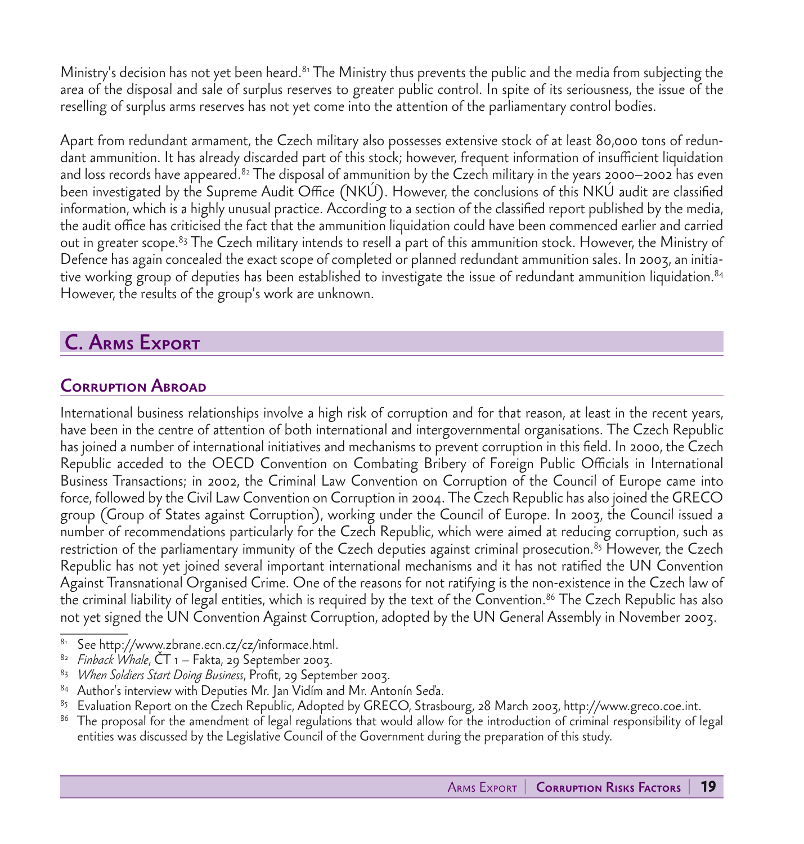Ministry's decision has not yet been heard.<sup>81</sup> The Ministry thus prevents the public and the media from subjecting the area of the disposal and sale of surplus reserves to greater public control. In spite of its seriousness, the issue of the reselling of surplus arms reserves has not yet come into the attention of the parliamentary control bodies.

Apart from redundant armament, the Czech military also possesses extensive stock of at least 80,000 tons of redundant ammunition. It has already discarded part of this stock; however, frequent information of insufficient liquidation and loss records have appeared. $^{82}$  The disposal of ammunition by the Czech military in the years 2000–2002 has even been investigated by the Supreme Audit Office (NKÚ). However, the conclusions of this NKÚ audit are classified information, which is a highly unusual practice. According to a section of the classified report published by the media, the audit office has criticised the fact that the ammunition liquidation could have been commenced earlier and carried out in greater scope.<sup>83</sup> The Czech military intends to resell a part of this ammunition stock. However, the Ministry of Defence has again concealed the exact scope of completed or planned redundant ammunition sales. In 2003, an initiative working group of deputies has been established to investigate the issue of redundant ammunition liquidation.<sup>84</sup> However, the results of the group's work are unknown.

# C. Arms Export

## Corruption Abroad

International business relationships involve a high risk of corruption and for that reason, at least in the recent years, have been in the centre of attention of both international and intergovernmental organisations. The Czech Republic has joined a number of international initiatives and mechanisms to prevent corruption in this field. In 2000, the Czech Republic acceded to the OECD Convention on Combating Bribery of Foreign Public Officials in International Business Transactions; in 2002, the Criminal Law Convention on Corruption of the Council of Europe came into force, followed by the Civil Law Convention on Corruption in 2004. The Czech Republic has also joined the GRECO group (Group of States against Corruption), working under the Council of Europe. In 2003, the Council issued a number of recommendations particularly for the Czech Republic, which were aimed at reducing corruption, such as restriction of the parliamentary immunity of the Czech deputies against criminal prosecution.<sup>85</sup> However, the Czech Republic has not yet joined several important international mechanisms and it has not ratified the UN Convention Against Transnational Organised Crime. One of the reasons for not ratifying is the non-existence in the Czech law of the criminal liability of legal entities, which is required by the text of the Convention.<sup>86</sup> The Czech Republic has also not yet signed the UN Convention Against Corruption, adopted by the UN General Assembly in November 2003.

- See http://www.zbrane.ecn.cz/cz/informace.html.
- <sup>82</sup> *Finback Whale*, ČT 1 Fakta, 29 September 2003.
- <sup>83</sup> *When Soldiers Start Doing Business*, Profit, 29 September 2003.
- <sup>84</sup> Author's interview with Deputies Mr. Jan Vidím and Mr. Antonín Seďa.
- <sup>85</sup> Evaluation Report on the Czech Republic, Adopted by GRECO, Strasbourg, 28 March 2003, http://www.greco.coe.int.
- <sup>86</sup> The proposal for the amendment of legal regulations that would allow for the introduction of criminal responsibility of legal entities was discussed by the Legislative Council of the Government during the preparation of this study.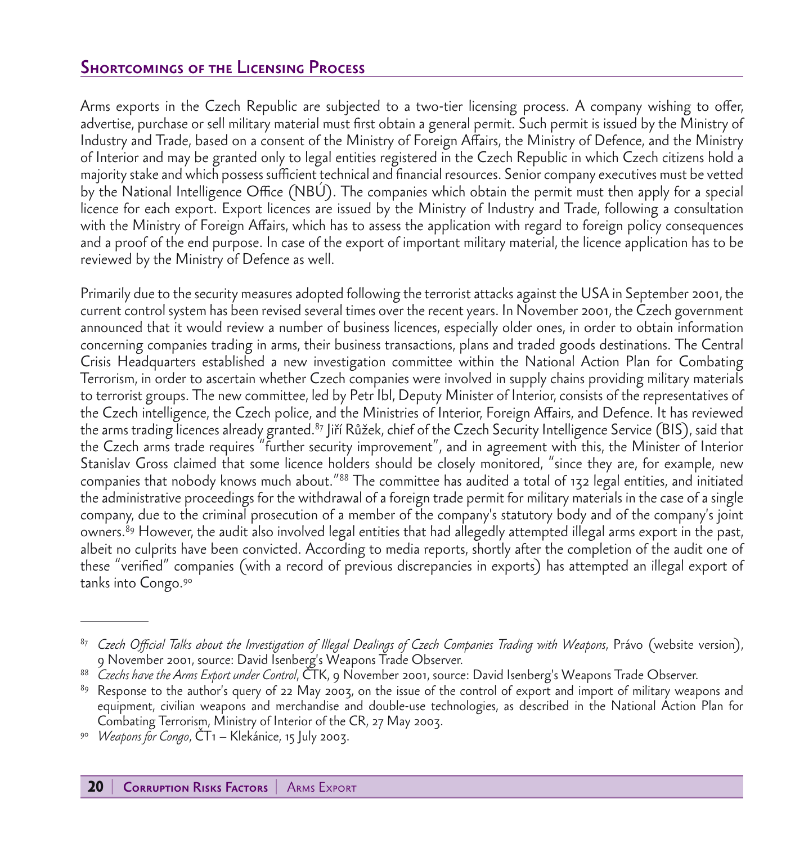### Shortcomings of the Licensing Process

Arms exports in the Czech Republic are subjected to a two-tier licensing process. A company wishing to offer, advertise, purchase or sell military material must first obtain a general permit. Such permit is issued by the Ministry of Industry and Trade, based on a consent of the Ministry of Foreign Affairs, the Ministry of Defence, and the Ministry of Interior and may be granted only to legal entities registered in the Czech Republic in which Czech citizens hold a majority stake and which possess sufficient technical and financial resources. Senior company executives must be vetted by the National Intelligence Office (NBÚ). The companies which obtain the permit must then apply for a special licence for each export. Export licences are issued by the Ministry of Industry and Trade, following a consultation with the Ministry of Foreign Affairs, which has to assess the application with regard to foreign policy consequences and a proof of the end purpose. In case of the export of important military material, the licence application has to be reviewed by the Ministry of Defence as well.

Primarily due to the security measures adopted following the terrorist attacks against the USA in September 2001, the current control system has been revised several times over the recent years. In November 2001, the Czech government announced that it would review a number of business licences, especially older ones, in order to obtain information concerning companies trading in arms, their business transactions, plans and traded goods destinations. The Central Crisis Headquarters established a new investigation committee within the National Action Plan for Combating Terrorism, in order to ascertain whether Czech companies were involved in supply chains providing military materials to terrorist groups. The new committee, led by Petr Ibl, Deputy Minister of Interior, consists of the representatives of the Czech intelligence, the Czech police, and the Ministries of Interior, Foreign Affairs, and Defence. It has reviewed the arms trading licences already granted.<sup>87</sup> Jiří Růžek, chief of the Czech Security Intelligence Service (BIS), said that the Czech arms trade requires "further security improvement", and in agreement with this, the Minister of Interior Stanislav Gross claimed that some licence holders should be closely monitored, "since they are, for example, new companies that nobody knows much about."88 The committee has audited a total of 132 legal entities, and initiated the administrative proceedings for the withdrawal of a foreign trade permit for military materials in the case of a single company, due to the criminal prosecution of a member of the company's statutory body and of the company's joint owners.89 However, the audit also involved legal entities that had allegedly attempted illegal arms export in the past, albeit no culprits have been convicted. According to media reports, shortly after the completion of the audit one of these "verified" companies (with a record of previous discrepancies in exports) has attempted an illegal export of tanks into Congo.90

<sup>87</sup> *Czech Official Talks about the Investigation of Illegal Dealings of Czech Companies Trading with Weapons*, Právo (website version), 9 November 2001, source: David Isenberg's Weapons Trade Observer.

<sup>88</sup> *Czechs have the Arms Export under Control*, ČTK, 9 November 2001, source: David Isenberg's Weapons Trade Observer.

<sup>&</sup>lt;sup>89</sup> Response to the author's query of 22 May 2003, on the issue of the control of export and import of military weapons and equipment, civilian weapons and merchandise and double-use technologies, as described in the National Action Plan for Combating Terrorism, Ministry of Interior of the CR, 27 May 2003.

<sup>90</sup> *Weapons for Congo*, ČT1 – Klekánice, 15 July 2003.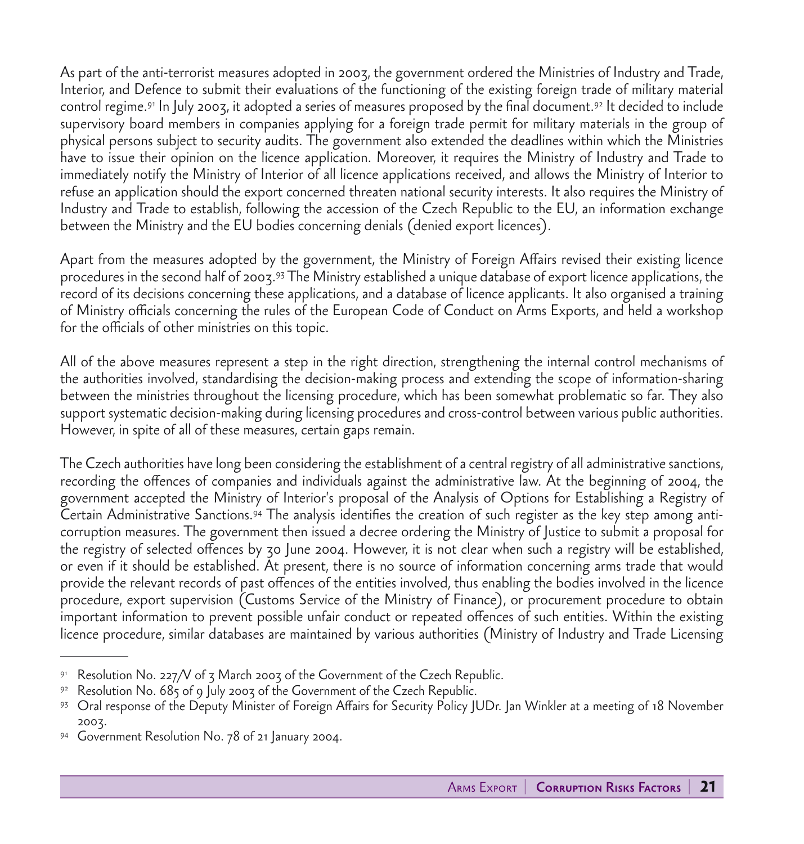As part of the anti-terrorist measures adopted in 2003, the government ordered the Ministries of Industry and Trade, Interior, and Defence to submit their evaluations of the functioning of the existing foreign trade of military material control regime.91 In July 2003, it adopted a series of measures proposed by the final document.92 It decided to include supervisory board members in companies applying for a foreign trade permit for military materials in the group of physical persons subject to security audits. The government also extended the deadlines within which the Ministries have to issue their opinion on the licence application. Moreover, it requires the Ministry of Industry and Trade to immediately notify the Ministry of Interior of all licence applications received, and allows the Ministry of Interior to refuse an application should the export concerned threaten national security interests. It also requires the Ministry of Industry and Trade to establish, following the accession of the Czech Republic to the EU, an information exchange between the Ministry and the EU bodies concerning denials (denied export licences).

Apart from the measures adopted by the government, the Ministry of Foreign Affairs revised their existing licence procedures in the second half of 2003.93 The Ministry established a unique database of export licence applications, the record of its decisions concerning these applications, and a database of licence applicants. It also organised a training of Ministry officials concerning the rules of the European Code of Conduct on Arms Exports, and held a workshop for the officials of other ministries on this topic.

All of the above measures represent a step in the right direction, strengthening the internal control mechanisms of the authorities involved, standardising the decision-making process and extending the scope of information-sharing between the ministries throughout the licensing procedure, which has been somewhat problematic so far. They also support systematic decision-making during licensing procedures and cross-control between various public authorities. However, in spite of all of these measures, certain gaps remain.

The Czech authorities have long been considering the establishment of a central registry of all administrative sanctions, recording the offences of companies and individuals against the administrative law. At the beginning of 2004, the government accepted the Ministry of Interior's proposal of the Analysis of Options for Establishing a Registry of Certain Administrative Sanctions.94 The analysis identifies the creation of such register as the key step among anticorruption measures. The government then issued a decree ordering the Ministry of Justice to submit a proposal for the registry of selected offences by 30 June 2004. However, it is not clear when such a registry will be established, or even if it should be established. At present, there is no source of information concerning arms trade that would provide the relevant records of past offences of the entities involved, thus enabling the bodies involved in the licence procedure, export supervision (Customs Service of the Ministry of Finance), or procurement procedure to obtain important information to prevent possible unfair conduct or repeated offences of such entities. Within the existing licence procedure, similar databases are maintained by various authorities (Ministry of Industry and Trade Licensing

Resolution No. 227/V of  $\zeta$  March 2003 of the Government of the Czech Republic.

<sup>92</sup> Resolution No. 685 of 9 July 2003 of the Government of the Czech Republic.

<sup>93</sup> Oral response of the Deputy Minister of Foreign Affairs for Security Policy JUDr. Jan Winkler at a meeting of 18 November 2003.

<sup>94</sup> Government Resolution No. 78 of 21 January 2004.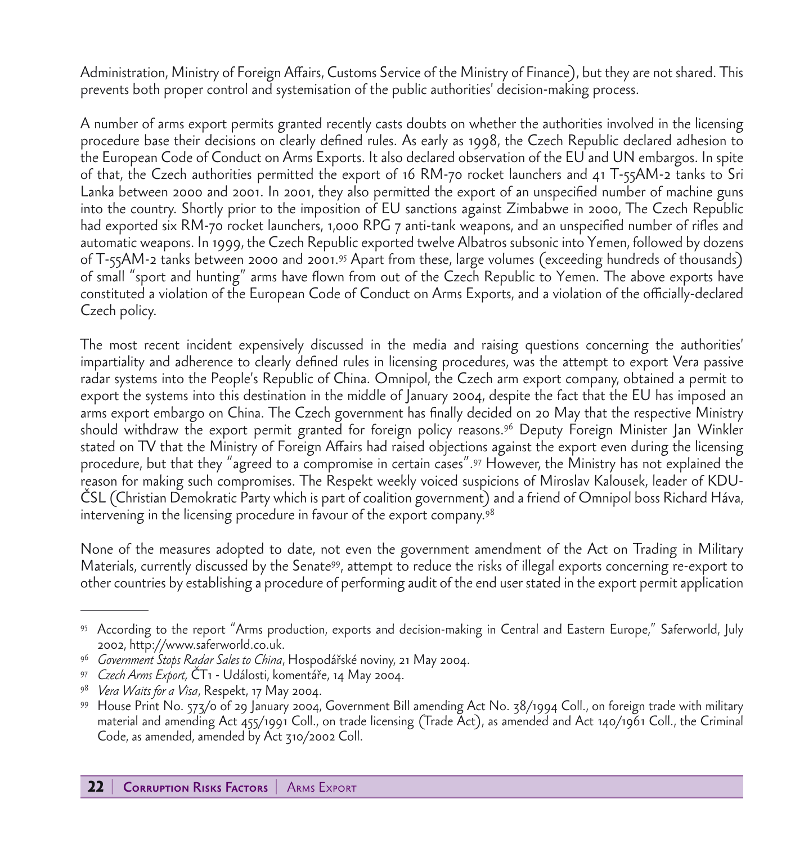Administration, Ministry of Foreign Affairs, Customs Service of the Ministry of Finance), but they are not shared. This prevents both proper control and systemisation of the public authorities' decision-making process.

A number of arms export permits granted recently casts doubts on whether the authorities involved in the licensing procedure base their decisions on clearly defined rules. As early as 1998, the Czech Republic declared adhesion to the European Code of Conduct on Arms Exports. It also declared observation of the EU and UN embargos. In spite of that, the Czech authorities permitted the export of 16 RM-70 rocket launchers and 41 T-55AM-2 tanks to Sri Lanka between 2000 and 2001. In 2001, they also permitted the export of an unspecified number of machine guns into the country. Shortly prior to the imposition of EU sanctions against Zimbabwe in 2000, The Czech Republic had exported six RM-70 rocket launchers, 1,000 RPG 7 anti-tank weapons, and an unspecified number of rifles and automatic weapons. In 1999, the Czech Republic exported twelve Albatros subsonic into Yemen, followed by dozens of T-55AM-2 tanks between 2000 and 2001.95 Apart from these, large volumes (exceeding hundreds of thousands) of small "sport and hunting" arms have flown from out of the Czech Republic to Yemen. The above exports have constituted a violation of the European Code of Conduct on Arms Exports, and a violation of the officially-declared Czech policy.

The most recent incident expensively discussed in the media and raising questions concerning the authorities' impartiality and adherence to clearly defined rules in licensing procedures, was the attempt to export Vera passive radar systems into the People's Republic of China. Omnipol, the Czech arm export company, obtained a permit to export the systems into this destination in the middle of January 2004, despite the fact that the EU has imposed an arms export embargo on China. The Czech government has finally decided on 20 May that the respective Ministry should withdraw the export permit granted for foreign policy reasons.96 Deputy Foreign Minister Jan Winkler stated on TV that the Ministry of Foreign Affairs had raised objections against the export even during the licensing procedure, but that they "agreed to a compromise in certain cases".97 However, the Ministry has not explained the reason for making such compromises. The Respekt weekly voiced suspicions of Miroslav Kalousek, leader of KDU-ČSL (Christian Demokratic Party which is part of coalition government) and a friend of Omnipol boss Richard Háva, intervening in the licensing procedure in favour of the export company.98

None of the measures adopted to date, not even the government amendment of the Act on Trading in Military Materials, currently discussed by the Senate99, attempt to reduce the risks of illegal exports concerning re-export to other countries by establishing a procedure of performing audit of the end user stated in the export permit application

<sup>95</sup> According to the report "Arms production, exports and decision-making in Central and Eastern Europe," Saferworld, July 2002, http://www.saferworld.co.uk.

<sup>96</sup> *Government Stops Radar Sales to China*, Hospodářské noviny, 21 May 2004.

<sup>97</sup> *Czech Arms Export,* ČT1 - Události, komentáře, 14 May 2004.

<sup>98</sup> *Vera Waits for a Visa*, Respekt, 17 May 2004.

<sup>99</sup> House Print No. 573/0 of 29 January 2004, Government Bill amending Act No. 38/1994 Coll., on foreign trade with military material and amending Act 455/1991 Coll., on trade licensing (Trade Act), as amended and Act 140/1961 Coll., the Criminal Code, as amended, amended by Act 310/2002 Coll.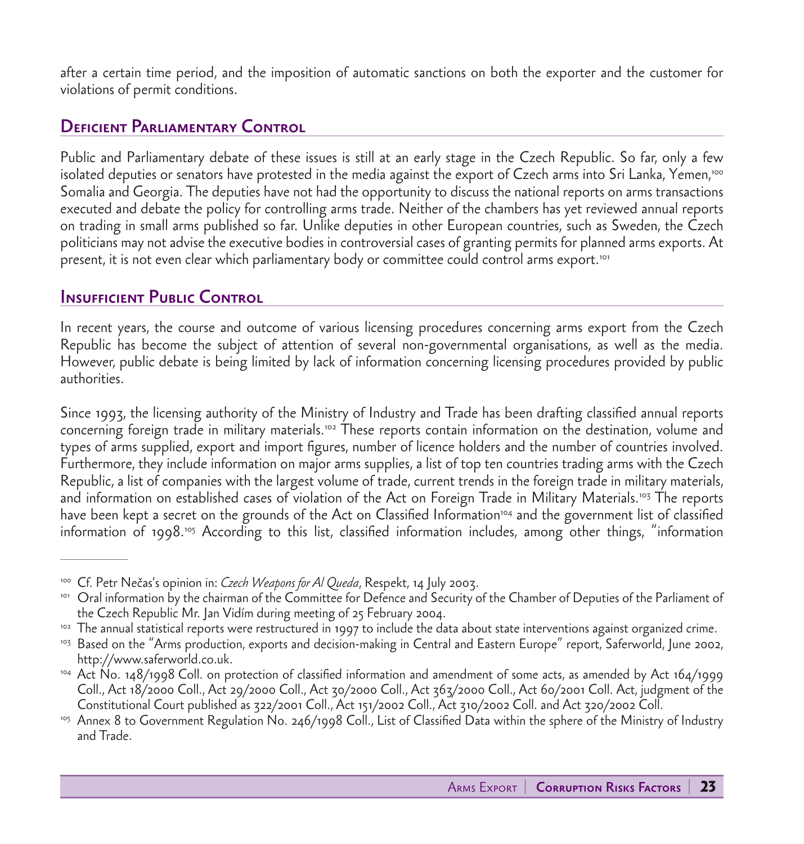after a certain time period, and the imposition of automatic sanctions on both the exporter and the customer for violations of permit conditions.

#### Deficient Parliamentary Control

Public and Parliamentary debate of these issues is still at an early stage in the Czech Republic. So far, only a few isolated deputies or senators have protested in the media against the export of Czech arms into Sri Lanka, Yemen,<sup>100</sup> Somalia and Georgia. The deputies have not had the opportunity to discuss the national reports on arms transactions executed and debate the policy for controlling arms trade. Neither of the chambers has yet reviewed annual reports on trading in small arms published so far. Unlike deputies in other European countries, such as Sweden, the Czech politicians may not advise the executive bodies in controversial cases of granting permits for planned arms exports. At present, it is not even clear which parliamentary body or committee could control arms export.101

#### **INSUFFICIENT PUBLIC CONTROL**

In recent years, the course and outcome of various licensing procedures concerning arms export from the Czech Republic has become the subject of attention of several non-governmental organisations, as well as the media. However, public debate is being limited by lack of information concerning licensing procedures provided by public authorities.

Since 1993, the licensing authority of the Ministry of Industry and Trade has been drafting classified annual reports concerning foreign trade in military materials.102 These reports contain information on the destination, volume and types of arms supplied, export and import figures, number of licence holders and the number of countries involved. Furthermore, they include information on major arms supplies, a list of top ten countries trading arms with the Czech Republic, a list of companies with the largest volume of trade, current trends in the foreign trade in military materials, and information on established cases of violation of the Act on Foreign Trade in Military Materials.<sup>103</sup> The reports have been kept a secret on the grounds of the Act on Classified Information<sup>104</sup> and the government list of classified information of 1998.<sup>105</sup> According to this list, classified information includes, among other things, "information

<sup>&</sup>lt;sup>100</sup> Cf. Petr Nečas's opinion in: *Czech Weapons for Al Queda,* Respekt, 14 July 2003.<br><sup>101</sup> Oral information by the chairman of the Committee for Defence and Security of the Chamber of Deputies of the Parliament of the Czech Republic Mr. Jan Vidím during meeting of 25 February 2004.

<sup>&</sup>lt;sup>102</sup> The annual statistical reports were restructured in 1997 to include the data about state interventions against organized crime.

<sup>&</sup>lt;sup>103</sup> Based on the "Arms production, exports and decision-making in Central and Eastern Europe" report, Saferworld, June 2002, http://www.saferworld.co.uk.

<sup>104</sup> Act No. 148/1998 Coll. on protection of classified information and amendment of some acts, as amended by Act 164/1999 Coll., Act 18/2000 Coll., Act 29/2000 Coll., Act 30/2000 Coll., Act 363/2000 Coll., Act 60/2001 Coll. Act, judgment of the Constitutional Court published as 322/2001 Coll., Act 151/2002 Coll., Act 310/2002 Coll. and Act 320/2002 Coll.

<sup>&</sup>lt;sup>105</sup> Annex 8 to Government Regulation No. 246/1998 Coll., List of Classified Data within the sphere of the Ministry of Industry and Trade.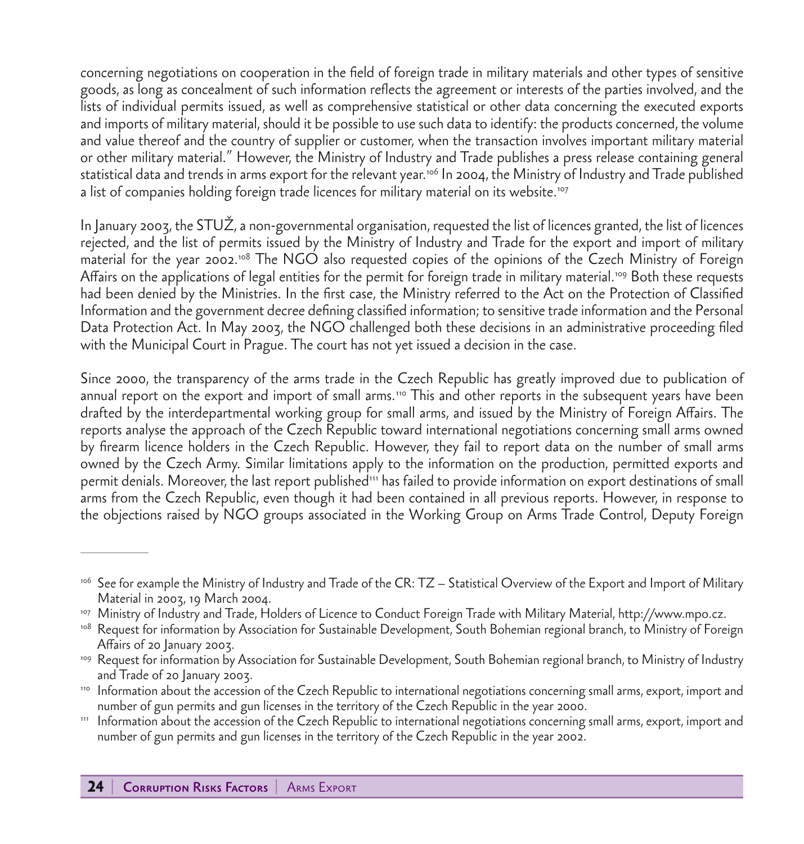concerning negotiations on cooperation in the field of foreign trade in military materials and other types of sensitive goods, as long as concealment of such information reflects the agreement or interests of the parties involved, and the lists of individual permits issued, as well as comprehensive statistical or other data concerning the executed exports and imports of military material, should it be possible to use such data to identify: the products concerned, the volume and value thereof and the country of supplier or customer, when the transaction involves important military material or other military material." However, the Ministry of Industry and Trade publishes a press release containing general statistical data and trends in arms export for the relevant year.<sup>106</sup> In 2004, the Ministry of Industry and Trade published a list of companies holding foreign trade licences for military material on its website.107

In January 2003, the STUŽ, a non-governmental organisation, requested the list of licences granted, the list of licences rejected, and the list of permits issued by the Ministry of Industry and Trade for the export and import of military material for the year 2002.108 The NGO also requested copies of the opinions of the Czech Ministry of Foreign Affairs on the applications of legal entities for the permit for foreign trade in military material.109 Both these requests had been denied by the Ministries. In the first case, the Ministry referred to the Act on the Protection of Classified Information and the government decree defining classified information; to sensitive trade information and the Personal Data Protection Act. In May 2003, the NGO challenged both these decisions in an administrative proceeding filed with the Municipal Court in Prague. The court has not yet issued a decision in the case.

Since 2000, the transparency of the arms trade in the Czech Republic has greatly improved due to publication of annual report on the export and import of small arms.<sup>110</sup> This and other reports in the subsequent years have been drafted by the interdepartmental working group for small arms, and issued by the Ministry of Foreign Affairs. The reports analyse the approach of the Czech Republic toward international negotiations concerning small arms owned by firearm licence holders in the Czech Republic. However, they fail to report data on the number of small arms owned by the Czech Army. Similar limitations apply to the information on the production, permitted exports and permit denials. Moreover, the last report published<sup>111</sup> has failed to provide information on export destinations of small arms from the Czech Republic, even though it had been contained in all previous reports. However, in response to the objections raised by NGO groups associated in the Working Group on Arms Trade Control, Deputy Foreign

<sup>&</sup>lt;sup>106</sup> See for example the Ministry of Industry and Trade of the CR: TZ – Statistical Overview of the Export and Import of Military Material in 2003, 19 March 2004.

<sup>107</sup> Ministry of Industry and Trade, Holders of Licence to Conduct Foreign Trade with Military Material, http://www.mpo.cz.

<sup>&</sup>lt;sup>108</sup> Request for information by Association for Sustainable Development, South Bohemian regional branch, to Ministry of Foreign Affairs of 20 January 2003.

<sup>&</sup>lt;sup>109</sup> Request for information by Association for Sustainable Development, South Bohemian regional branch, to Ministry of Industry and Trade of 20 January 2003.

<sup>110</sup> Information about the accession of the Czech Republic to international negotiations concerning small arms, export, import and number of gun permits and gun licenses in the territory of the Czech Republic in the year 2000.

<sup>111</sup> Information about the accession of the Czech Republic to international negotiations concerning small arms, export, import and number of gun permits and gun licenses in the territory of the Czech Republic in the year 2002.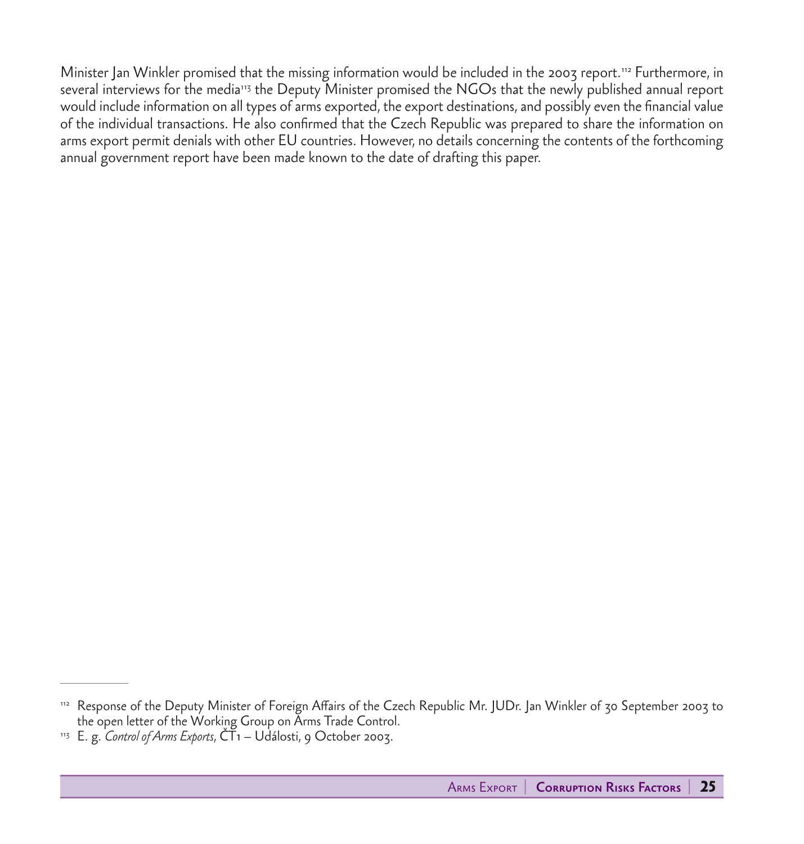Minister Jan Winkler promised that the missing information would be included in the 2003 report.112 Furthermore, in several interviews for the media<sup>113</sup> the Deputy Minister promised the NGOs that the newly published annual report would include information on all types of arms exported, the export destinations, and possibly even the financial value of the individual transactions. He also confirmed that the Czech Republic was prepared to share the information on arms export permit denials with other EU countries. However, no details concerning the contents of the forthcoming annual government report have been made known to the date of drafting this paper.

<sup>112</sup> Response of the Deputy Minister of Foreign Affairs of the Czech Republic Mr. JUDr. Jan Winkler of 30 September 2003 to the open letter of the Working Group on Arms Trade Control.

<sup>&</sup>lt;sup>113</sup> E. g. *Control of Arms Exports*,  $\check{\text{CT}}$ 1 – Události, 9 October 2003.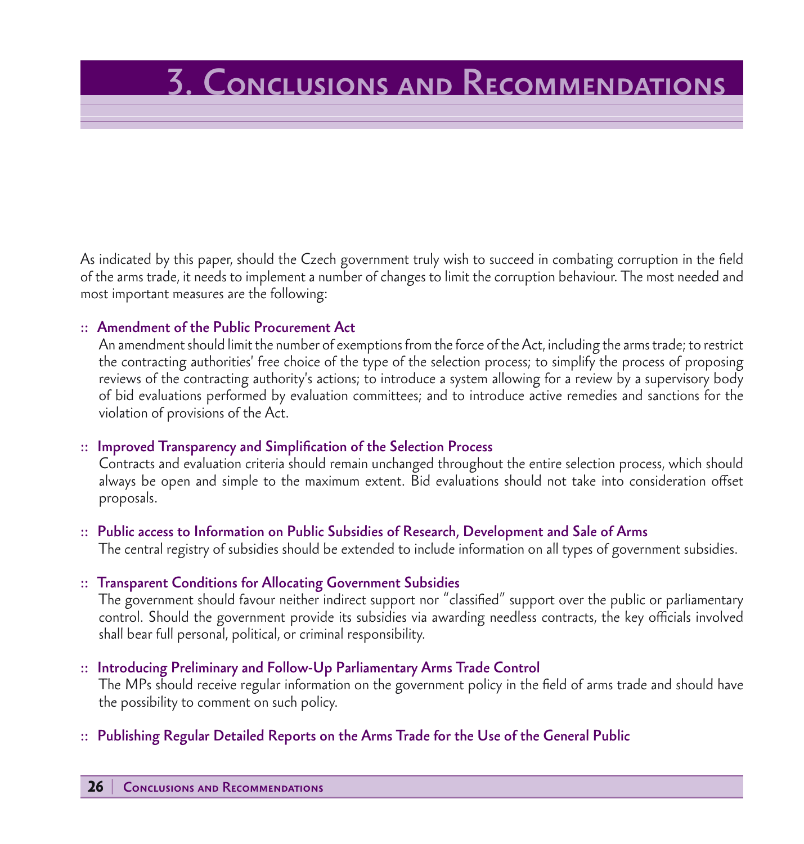# 3. Conclusions and Recommendations

As indicated by this paper, should the Czech government truly wish to succeed in combating corruption in the field of the arms trade, it needs to implement a number of changes to limit the corruption behaviour. The most needed and most important measures are the following:

#### :: Amendment of the Public Procurement Act

 An amendment should limit the number of exemptions from the force of the Act, including the arms trade; to restrict the contracting authorities' free choice of the type of the selection process; to simplify the process of proposing reviews of the contracting authority's actions; to introduce a system allowing for a review by a supervisory body of bid evaluations performed by evaluation committees; and to introduce active remedies and sanctions for the violation of provisions of the Act.

#### :: Improved Transparency and Simplification of the Selection Process

 Contracts and evaluation criteria should remain unchanged throughout the entire selection process, which should always be open and simple to the maximum extent. Bid evaluations should not take into consideration offset proposals.

#### :: Public access to Information on Public Subsidies of Research, Development and Sale of Arms

The central registry of subsidies should be extended to include information on all types of government subsidies.

#### :: Transparent Conditions for Allocating Government Subsidies

 The government should favour neither indirect support nor "classified" support over the public or parliamentary control. Should the government provide its subsidies via awarding needless contracts, the key officials involved shall bear full personal, political, or criminal responsibility.

#### :: Introducing Preliminary and Follow-Up Parliamentary Arms Trade Control

 The MPs should receive regular information on the government policy in the field of arms trade and should have the possibility to comment on such policy.

#### :: Publishing Regular Detailed Reports on the Arms Trade for the Use of the General Public